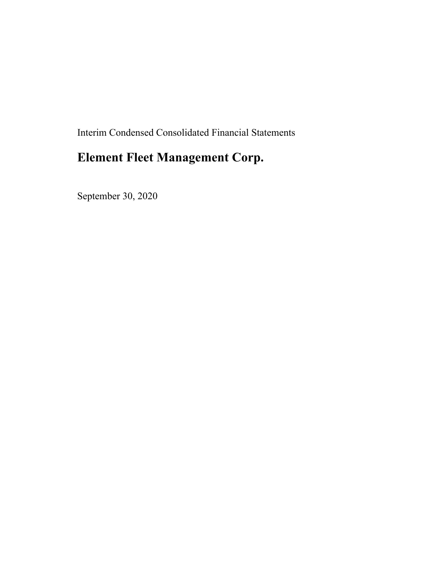Interim Condensed Consolidated Financial Statements

# **Element Fleet Management Corp.**

September 30, 2020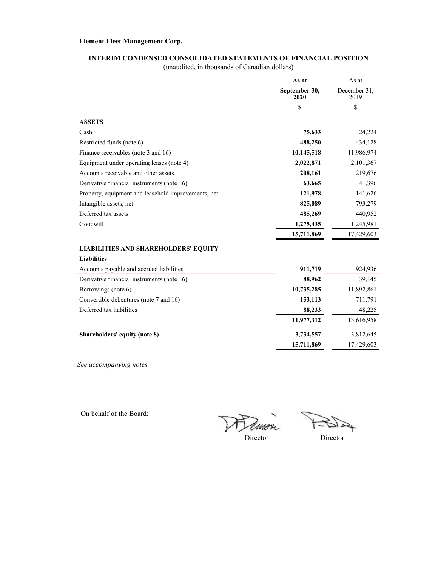#### **INTERIM CONDENSED CONSOLIDATED STATEMENTS OF FINANCIAL POSITION**

(unaudited, in thousands of Canadian dollars)

|                                                     | As at                 | As at                |
|-----------------------------------------------------|-----------------------|----------------------|
|                                                     | September 30,<br>2020 | December 31.<br>2019 |
|                                                     | \$                    | \$                   |
| <b>ASSETS</b>                                       |                       |                      |
| Cash                                                | 75,633                | 24,224               |
| Restricted funds (note 6)                           | 488,250               | 434,128              |
| Finance receivables (note 3 and 16)                 | 10,145,518            | 11,986,974           |
| Equipment under operating leases (note 4)           | 2,022,871             | 2,101,367            |
| Accounts receivable and other assets                | 208,161               | 219,676              |
| Derivative financial instruments (note 16)          | 63,665                | 41,396               |
| Property, equipment and leasehold improvements, net | 121,978               | 141,626              |
| Intangible assets, net                              | 825,089               | 793,279              |
| Deferred tax assets                                 | 485,269               | 440,952              |
| Goodwill                                            | 1,275,435             | 1,245,981            |
|                                                     | 15,711,869            | 17,429,603           |
| <b>LIABILITIES AND SHAREHOLDERS' EQUITY</b>         |                       |                      |
| <b>Liabilities</b>                                  |                       |                      |
| Accounts payable and accrued liabilities            | 911,719               | 924,936              |
| Derivative financial instruments (note 16)          | 88,962                | 39,145               |
| Borrowings (note 6)                                 | 10,735,285            | 11,892,861           |
| Convertible debentures (note 7 and 16)              | 153,113               | 711,791              |
| Deferred tax liabilities                            | 88,233                | 48,225               |
|                                                     | 11,977,312            | 13,616,958           |
| Shareholders' equity (note 8)                       | 3,734,557             | 3,812,645            |
|                                                     | 15,711,869            | 17,429,603           |

*See accompanying notes*

On behalf of the Board:

Dimo  $\frac{1}{2}$ 

↬

Director Director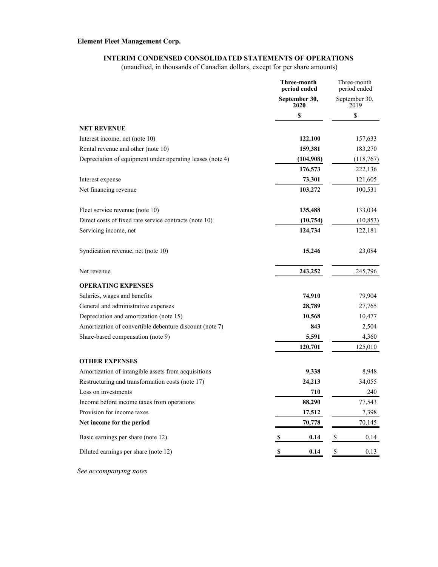#### **INTERIM CONDENSED CONSOLIDATED STATEMENTS OF OPERATIONS**

(unaudited, in thousands of Canadian dollars, except for per share amounts)

|                                                           | Three-month<br>period ended | Three-month<br>period ended |
|-----------------------------------------------------------|-----------------------------|-----------------------------|
|                                                           | September 30,<br>2020       | September 30,<br>2019       |
|                                                           | \$                          | \$                          |
| <b>NET REVENUE</b>                                        |                             |                             |
| Interest income, net (note 10)                            | 122,100                     | 157,633                     |
| Rental revenue and other (note 10)                        | 159,381                     | 183,270                     |
| Depreciation of equipment under operating leases (note 4) | (104,908)                   | (118, 767)                  |
|                                                           | 176,573                     | 222,136                     |
| Interest expense                                          | 73,301                      | 121,605                     |
| Net financing revenue                                     | 103,272                     | 100,531                     |
| Fleet service revenue (note 10)                           | 135,488                     | 133,034                     |
| Direct costs of fixed rate service contracts (note 10)    | (10,754)                    | (10, 853)                   |
| Servicing income, net                                     | 124,734                     | 122,181                     |
| Syndication revenue, net (note 10)                        | 15,246                      | 23,084                      |
| Net revenue                                               | 243,252                     | 245,796                     |
| <b>OPERATING EXPENSES</b>                                 |                             |                             |
| Salaries, wages and benefits                              | 74,910                      | 79,904                      |
| General and administrative expenses                       | 28,789                      | 27,765                      |
| Depreciation and amortization (note 15)                   | 10,568                      | 10,477                      |
| Amortization of convertible debenture discount (note 7)   | 843                         | 2,504                       |
| Share-based compensation (note 9)                         | 5,591                       | 4,360                       |
|                                                           | 120,701                     | 125,010                     |
| <b>OTHER EXPENSES</b>                                     |                             |                             |
| Amortization of intangible assets from acquisitions       | 9,338                       | 8,948                       |
| Restructuring and transformation costs (note 17)          | 24,213                      | 34,055                      |
| Loss on investments                                       | 710                         | 240                         |
| Income before income taxes from operations                | 88,290                      | 77,543                      |
| Provision for income taxes                                | 17,512                      | 7,398                       |
| Net income for the period                                 | 70,778                      | 70,145                      |
| Basic earnings per share (note 12)                        | 0.14<br>\$                  | \$<br>0.14                  |
| Diluted earnings per share (note 12)                      | 0.14<br>S                   | $\pmb{\mathbb{S}}$<br>0.13  |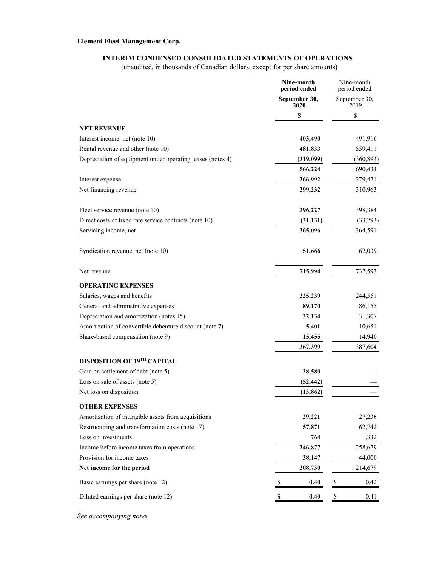#### **INTERIM CONDENSED CONSOLIDATED STATEMENTS OF OPERATIONS**

(unaudited, in thousands of Canadian dollars, except for per share amounts)

|                                                            | Nine-month<br>period ended | Nine-month<br>period ended        |  |
|------------------------------------------------------------|----------------------------|-----------------------------------|--|
|                                                            | September 30,<br>2020      | September 30,<br>2019             |  |
|                                                            | \$                         | \$                                |  |
| <b>NET REVENUE</b>                                         |                            |                                   |  |
| Interest income, net (note 10)                             | 403,490                    | 491,916                           |  |
| Rental revenue and other (note 10)                         | 481,833                    | 559,411                           |  |
| Depreciation of equipment under operating leases (notes 4) | (319,099)                  | (360, 893)                        |  |
|                                                            | 566,224                    | 690,434                           |  |
| Interest expense                                           | 266,992                    | 379,471                           |  |
| Net financing revenue                                      | 299,232                    | 310,963                           |  |
| Fleet service revenue (note 10)                            | 396,227                    | 398,384                           |  |
| Direct costs of fixed rate service contracts (note 10)     | (31, 131)                  | (33,793)                          |  |
| Servicing income, net                                      | 365,096                    | 364,591                           |  |
| Syndication revenue, net (note 10)                         | 51,666                     | 62,039                            |  |
| Net revenue                                                | 715,994                    | 737,593                           |  |
| <b>OPERATING EXPENSES</b>                                  |                            |                                   |  |
| Salaries, wages and benefits                               | 225,239                    | 244,551                           |  |
| General and administrative expenses                        | 89,170                     | 86,155                            |  |
| Depreciation and amortization (notes 15)                   | 32,134                     | 31,307                            |  |
| Amortization of convertible debenture discount (note 7)    | 5,401                      | 10,651                            |  |
| Share-based compensation (note 9)                          | 15,455                     | 14,940                            |  |
|                                                            | 367,399                    | 387,604                           |  |
| DISPOSITION OF 19 <sup>TH</sup> CAPITAL                    |                            |                                   |  |
| Gain on settlement of debt (note 5)                        | 38,580                     |                                   |  |
| Loss on sale of assets (note 5)                            | (52, 442)                  |                                   |  |
| Net loss on disposition                                    | (13, 862)                  |                                   |  |
| <b>OTHER EXPENSES</b>                                      |                            |                                   |  |
| Amortization of intangible assets from acquisitions        | 29,221                     | 27,236                            |  |
| Restructuring and transformation costs (note 17)           | 57,871                     | 62,742                            |  |
| Loss on investments                                        | 764                        | 1,332                             |  |
| Income before income taxes from operations                 | 246,877                    | 258,679                           |  |
| Provision for income taxes                                 | 38,147                     | 44,000                            |  |
| Net income for the period                                  | 208,730                    | 214,679                           |  |
| Basic earnings per share (note 12)                         | 0.40<br>\$                 | $\boldsymbol{\mathsf{S}}$<br>0.42 |  |
| Diluted earnings per share (note 12)                       | 0.40<br>\$                 | \$<br>0.41                        |  |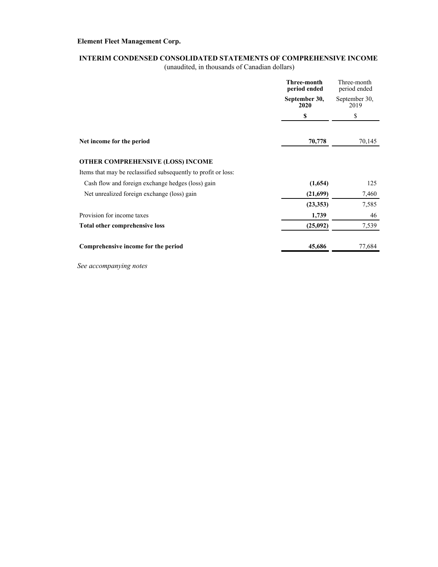### **INTERIM CONDENSED CONSOLIDATED STATEMENTS OF COMPREHENSIVE INCOME**

(unaudited, in thousands of Canadian dollars)

|                                                                | Three-month<br>period ended | Three-month<br>period ended |
|----------------------------------------------------------------|-----------------------------|-----------------------------|
|                                                                | September 30,<br>2020       | September 30,<br>2019       |
|                                                                | \$                          | \$                          |
| Net income for the period                                      | 70,778                      | 70,145                      |
| OTHER COMPREHENSIVE (LOSS) INCOME                              |                             |                             |
| Items that may be reclassified subsequently to profit or loss: |                             |                             |
| Cash flow and foreign exchange hedges (loss) gain              | (1,654)                     | 125                         |
| Net unrealized foreign exchange (loss) gain                    | (21,699)                    | 7,460                       |
|                                                                | (23, 353)                   | 7,585                       |
| Provision for income taxes                                     | 1,739                       | 46                          |
| <b>Total other comprehensive loss</b>                          | (25,092)                    | 7,539                       |
| Comprehensive income for the period                            | 45,686                      | 77,684                      |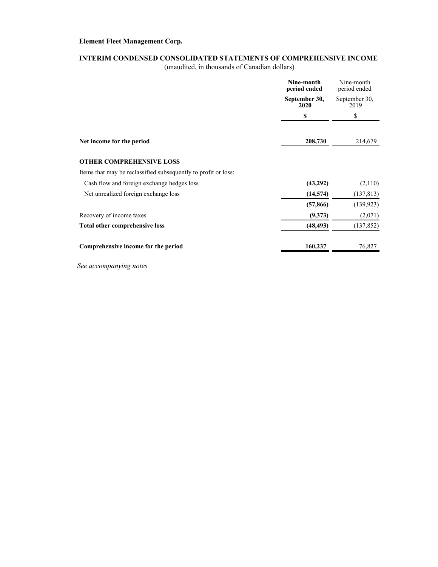### **INTERIM CONDENSED CONSOLIDATED STATEMENTS OF COMPREHENSIVE INCOME**

(unaudited, in thousands of Canadian dollars)

|                                                                | Nine-month<br>period ended   | Nine-month<br>period ended<br>September 30,<br>2019 |  |
|----------------------------------------------------------------|------------------------------|-----------------------------------------------------|--|
|                                                                | September 30,<br><b>2020</b> |                                                     |  |
|                                                                | \$                           | \$                                                  |  |
| Net income for the period                                      | 208,730                      | 214,679                                             |  |
| <b>OTHER COMPREHENSIVE LOSS</b>                                |                              |                                                     |  |
| Items that may be reclassified subsequently to profit or loss: |                              |                                                     |  |
| Cash flow and foreign exchange hedges loss                     | (43,292)                     | (2,110)                                             |  |
| Net unrealized foreign exchange loss                           | (14, 574)                    | (137, 813)                                          |  |
|                                                                | (57, 866)                    | (139, 923)                                          |  |
| Recovery of income taxes                                       | (9,373)                      | (2,071)                                             |  |
| Total other comprehensive loss                                 | (48, 493)                    | (137, 852)                                          |  |
| Comprehensive income for the period                            | 160,237                      | 76,827                                              |  |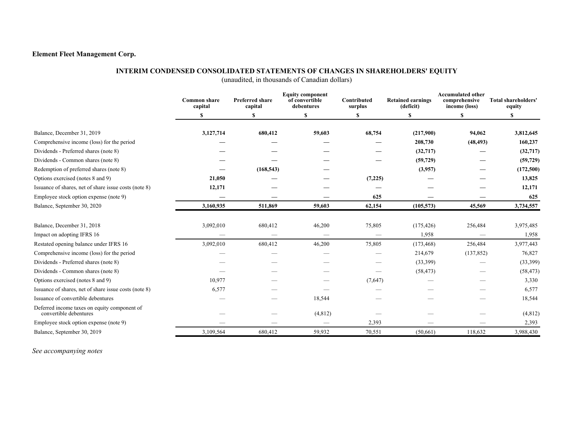#### **INTERIM CONDENSED CONSOLIDATED STATEMENTS OF CHANGES IN SHAREHOLDERS' EQUITY**

(unaudited, in thousands of Canadian dollars)

|                                                                        | <b>Common share</b><br>capital | <b>Preferred share</b><br>capital | <b>Equity component</b><br>of convertible<br>debentures | Contributed<br>surplus | <b>Retained earnings</b><br>(deficit) | <b>Accumulated other</b><br>comprehensive<br>income (loss) | Total shareholders'<br>equity |
|------------------------------------------------------------------------|--------------------------------|-----------------------------------|---------------------------------------------------------|------------------------|---------------------------------------|------------------------------------------------------------|-------------------------------|
|                                                                        |                                | \$                                | S                                                       |                        | \$                                    | \$                                                         | \$                            |
| Balance, December 31, 2019                                             | 3,127,714                      | 680,412                           | 59,603                                                  | 68,754                 | (217,900)                             | 94,062                                                     | 3,812,645                     |
| Comprehensive income (loss) for the period                             |                                |                                   |                                                         |                        | 208,730                               | (48, 493)                                                  | 160,237                       |
| Dividends - Preferred shares (note 8)                                  |                                |                                   |                                                         |                        | (32,717)                              |                                                            | (32,717)                      |
| Dividends - Common shares (note 8)                                     |                                |                                   |                                                         |                        | (59, 729)                             |                                                            | (59, 729)                     |
| Redemption of preferred shares (note 8)                                |                                | (168, 543)                        |                                                         |                        | (3,957)                               |                                                            | (172,500)                     |
| Options exercised (notes 8 and 9)                                      | 21,050                         |                                   |                                                         | (7,225)                |                                       |                                                            | 13,825                        |
| Issuance of shares, net of share issue costs (note 8)                  | 12,171                         |                                   |                                                         |                        |                                       |                                                            | 12,171                        |
| Employee stock option expense (note 9)                                 |                                |                                   |                                                         | 625                    |                                       | —                                                          | 625                           |
| Balance, September 30, 2020                                            | 3,160,935                      | 511,869                           | 59,603                                                  | 62,154                 | (105, 573)                            | 45,569                                                     | 3,734,557                     |
| Balance, December 31, 2018                                             | 3,092,010                      | 680,412                           | 46,200                                                  | 75,805                 | (175, 426)                            | 256,484                                                    | 3,975,485                     |
| Impact on adopting IFRS 16                                             |                                |                                   |                                                         |                        | 1,958                                 |                                                            | 1,958                         |
| Restated opening balance under IFRS 16                                 | 3,092,010                      | 680,412                           | 46,200                                                  | 75,805                 | (173, 468)                            | 256,484                                                    | 3,977,443                     |
| Comprehensive income (loss) for the period                             |                                |                                   |                                                         |                        | 214,679                               | (137, 852)                                                 | 76,827                        |
| Dividends - Preferred shares (note 8)                                  |                                |                                   |                                                         |                        | (33,399)                              |                                                            | (33,399)                      |
| Dividends - Common shares (note 8)                                     |                                |                                   |                                                         |                        | (58, 473)                             |                                                            | (58, 473)                     |
| Options exercised (notes 8 and 9)                                      | 10,977                         |                                   |                                                         | (7,647)                |                                       |                                                            | 3,330                         |
| Issuance of shares, net of share issue costs (note 8)                  | 6,577                          |                                   |                                                         |                        |                                       |                                                            | 6,577                         |
| Issuance of convertible debentures                                     |                                |                                   | 18,544                                                  |                        |                                       |                                                            | 18,544                        |
| Deferred income taxes on equity component of<br>convertible debentures |                                |                                   | (4, 812)                                                |                        |                                       |                                                            | (4, 812)                      |
| Employee stock option expense (note 9)                                 |                                |                                   |                                                         | 2,393                  |                                       |                                                            | 2,393                         |
| Balance, September 30, 2019                                            | 3,109,564                      | 680,412                           | 59,932                                                  | 70,551                 | (50,661)                              | 118,632                                                    | 3,988,430                     |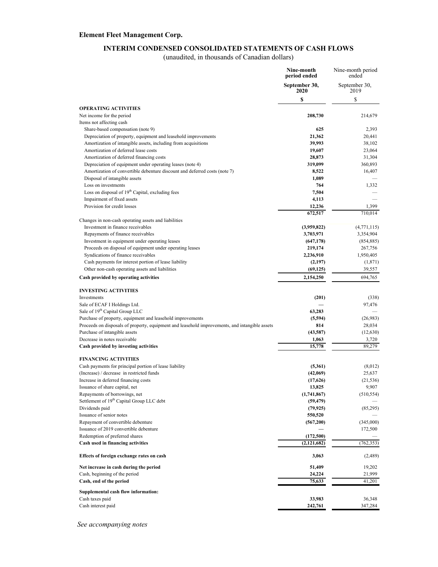#### **INTERIM CONDENSED CONSOLIDATED STATEMENTS OF CASH FLOWS**

(unaudited, in thousands of Canadian dollars)

|                                                                                                                                  | Nine-month<br>period ended | Nine-month period<br>ended |
|----------------------------------------------------------------------------------------------------------------------------------|----------------------------|----------------------------|
|                                                                                                                                  | September 30,<br>2020      | September 30,<br>2019      |
|                                                                                                                                  | \$                         | \$                         |
| <b>OPERATING ACTIVITIES</b>                                                                                                      |                            |                            |
| Net income for the period                                                                                                        | 208,730                    | 214,679                    |
| Items not affecting cash                                                                                                         |                            |                            |
| Share-based compensation (note 9)                                                                                                | 625                        | 2,393                      |
| Depreciation of property, equipment and leasehold improvements<br>Amortization of intangible assets, including from acquisitions | 21,362<br>39,993           | 20,441<br>38,102           |
| Amortization of deferred lease costs                                                                                             | 19,607                     | 23,064                     |
| Amortization of deferred financing costs                                                                                         | 28,873                     | 31,304                     |
| Depreciation of equipment under operating leases (note 4)                                                                        | 319,099                    | 360,893                    |
| Amortization of convertible debenture discount and deferred costs (note 7)                                                       | 8,522                      | 16,407                     |
| Disposal of intangible assets                                                                                                    | 1,089                      |                            |
| Loss on investments                                                                                                              | 764                        | 1,332                      |
| Loss on disposal of 19 <sup>th</sup> Capital, excluding fees<br>Impairment of fixed assets                                       | 7,504<br>4,113             |                            |
| Provision for credit losses                                                                                                      | 12,236                     | 1,399                      |
|                                                                                                                                  | 672,517                    | 710,014                    |
| Changes in non-cash operating assets and liabilities                                                                             |                            |                            |
| Investment in finance receivables                                                                                                | (3,959,822)                | (4, 771, 115)              |
| Repayments of finance receivables                                                                                                | 3,703,971                  | 3,354,904                  |
| Investment in equipment under operating leases                                                                                   | (647, 178)                 | (854, 885)                 |
| Proceeds on disposal of equipment under operating leases                                                                         | 219,174                    | 267,756                    |
| Syndications of finance receivables                                                                                              | 2,236,910                  | 1,950,405                  |
| Cash payments for interest portion of lease liability<br>Other non-cash operating assets and liabilities                         | (2,197)<br>(69, 125)       | (1, 871)<br>39,557         |
| Cash provided by operating activities                                                                                            | 2,154,250                  | 694,765                    |
|                                                                                                                                  |                            |                            |
| <b>INVESTING ACTIVITIES</b>                                                                                                      |                            |                            |
| Investments                                                                                                                      | (201)                      | (338)                      |
| Sale of ECAF I Holdings Ltd.<br>Sale of 19 <sup>th</sup> Capital Group LLC                                                       | 63,283                     | 97,476                     |
| Purchase of property, equipment and leasehold improvements                                                                       | (5,594)                    | (26,983)                   |
| Proceeds on disposals of property, equipment and leasehold improvements, and intangible assets                                   | 814                        | 28,034                     |
| Purchase of intangible assets                                                                                                    | (43,587)                   | (12, 630)                  |
| Decrease in notes receivable                                                                                                     | 1,063                      | 3,720                      |
| Cash provided by investing activities                                                                                            | 15,778                     | 89,279                     |
| <b>FINANCING ACTIVITIES</b>                                                                                                      |                            |                            |
| Cash payments for principal portion of lease liability                                                                           | (5,361)                    | (8,012)                    |
| (Increase) / decrease in restricted funds                                                                                        | (42,069)                   | 25,637                     |
| Increase in deferred financing costs                                                                                             | (17,626)                   | (21, 536)                  |
| Issuance of share capital, net                                                                                                   | 13,825                     | 9,907                      |
| Repayments of borrowings, net                                                                                                    | (1,741,867)                | (510, 554)                 |
| Settlement of 19 <sup>th</sup> Capital Group LLC debt                                                                            | (59, 479)                  |                            |
| Dividends paid<br>Issuance of senior notes                                                                                       | (79, 925)                  | (85,295)                   |
| Repayment of convertible debenture                                                                                               | 550,520<br>(567,200)       | (345,000)                  |
| Issuance of 2019 convertible debenture                                                                                           |                            | 172,500                    |
| Redemption of preferred shares                                                                                                   | (172, 500)                 |                            |
| Cash used in financing activities                                                                                                | (2,121,682)                | (762, 353)                 |
| Effects of foreign exchange rates on cash                                                                                        | 3,063                      | (2,489)                    |
| Net increase in cash during the period                                                                                           | 51,409                     | 19,202                     |
| Cash, beginning of the period                                                                                                    | 24,224                     | 21,999                     |
| Cash, end of the period                                                                                                          | 75,633                     | 41,201                     |
| Supplemental cash flow information:                                                                                              |                            |                            |
| Cash taxes paid                                                                                                                  | 33,983                     | 36,348                     |
| Cash interest paid                                                                                                               | 242,761                    | 347,284                    |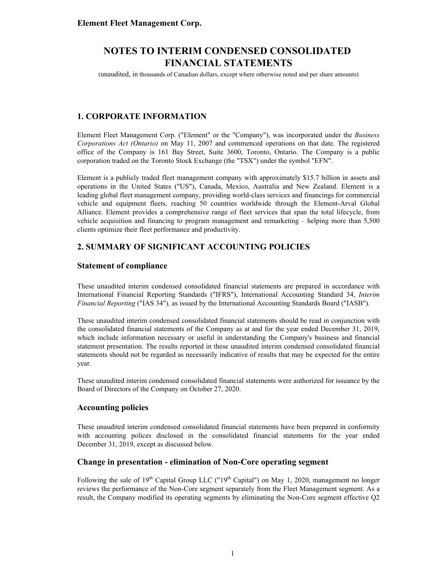(unaudited, in thousands of Canadian dollars, except where otherwise noted and per share amounts)

### **1. CORPORATE INFORMATION**

Element Fleet Management Corp. ("Element" or the "Company"), was incorporated under the *Business Corporations Act (Ontario)* on May 11, 2007 and commenced operations on that date. The registered office of the Company is 161 Bay Street, Suite 3600, Toronto, Ontario. The Company is a public corporation traded on the Toronto Stock Exchange (the "TSX") under the symbol "EFN".

Element is a publicly traded fleet management company with approximately \$15.7 billion in assets and operations in the United States ("US"), Canada, Mexico, Australia and New Zealand. Element is a leading global fleet management company, providing world-class services and financings for commercial vehicle and equipment fleets, reaching 50 countries worldwide through the Element-Arval Global Alliance. Element provides a comprehensive range of fleet services that span the total lifecycle, from vehicle acquisition and financing to program management and remarketing – helping more than 5,500 clients optimize their fleet performance and productivity.

### **2. SUMMARY OF SIGNIFICANT ACCOUNTING POLICIES**

### **Statement of compliance**

These unaudited interim condensed consolidated financial statements are prepared in accordance with International Financial Reporting Standards ("IFRS"), International Accounting Standard 34, *Interim Financial Reporting* ("IAS 34")*,* as issued by the International Accounting Standards Board ("IASB").

These unaudited interim condensed consolidated financial statements should be read in conjunction with the consolidated financial statements of the Company as at and for the year ended December 31, 2019, which include information necessary or useful in understanding the Company's business and financial statement presentation. The results reported in these unaudited interim condensed consolidated financial statements should not be regarded as necessarily indicative of results that may be expected for the entire year.

These unaudited interim condensed consolidated financial statements were authorized for issuance by the Board of Directors of the Company on October 27, 2020.

### **Accounting policies**

These unaudited interim condensed consolidated financial statements have been prepared in conformity with accounting polices disclosed in the consolidated financial statements for the year ended December 31, 2019, except as discussed below.

### **Change in presentation - elimination of Non-Core operating segment**

Following the sale of  $19<sup>th</sup>$  Capital Group LLC (" $19<sup>th</sup>$  Capital") on May 1, 2020, management no longer reviews the performance of the Non-Core segment separately from the Fleet Management segment. As a result, the Company modified its operating segments by eliminating the Non-Core segment effective Q2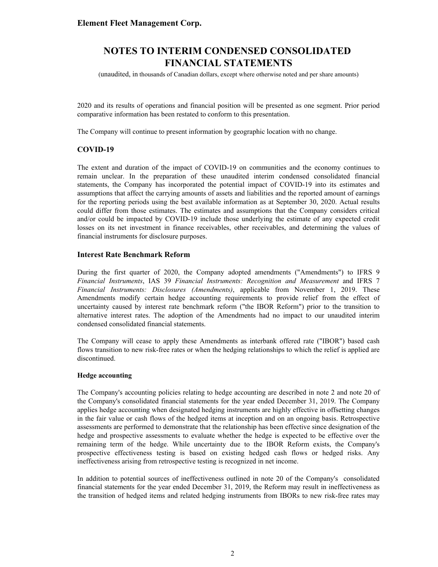(unaudited, in thousands of Canadian dollars, except where otherwise noted and per share amounts)

2020 and its results of operations and financial position will be presented as one segment. Prior period comparative information has been restated to conform to this presentation.

The Company will continue to present information by geographic location with no change.

#### **COVID-19**

The extent and duration of the impact of COVID-19 on communities and the economy continues to remain unclear. In the preparation of these unaudited interim condensed consolidated financial statements, the Company has incorporated the potential impact of COVID-19 into its estimates and assumptions that affect the carrying amounts of assets and liabilities and the reported amount of earnings for the reporting periods using the best available information as at September 30, 2020. Actual results could differ from those estimates. The estimates and assumptions that the Company considers critical and/or could be impacted by COVID-19 include those underlying the estimate of any expected credit losses on its net investment in finance receivables, other receivables, and determining the values of financial instruments for disclosure purposes.

#### **Interest Rate Benchmark Reform**

During the first quarter of 2020, the Company adopted amendments ("Amendments") to IFRS 9 *Financial Instruments*, IAS 39 *Financial Instruments: Recognition and Measurement* and IFRS 7 *Financial Instruments: Disclosures (Amendments)*, applicable from November 1, 2019. These Amendments modify certain hedge accounting requirements to provide relief from the effect of uncertainty caused by interest rate benchmark reform ("the IBOR Reform") prior to the transition to alternative interest rates. The adoption of the Amendments had no impact to our unaudited interim condensed consolidated financial statements.

The Company will cease to apply these Amendments as interbank offered rate ("IBOR") based cash flows transition to new risk-free rates or when the hedging relationships to which the relief is applied are discontinued.

#### **Hedge accounting**

The Company's accounting policies relating to hedge accounting are described in note 2 and note 20 of the Company's consolidated financial statements for the year ended December 31, 2019. The Company applies hedge accounting when designated hedging instruments are highly effective in offsetting changes in the fair value or cash flows of the hedged items at inception and on an ongoing basis. Retrospective assessments are performed to demonstrate that the relationship has been effective since designation of the hedge and prospective assessments to evaluate whether the hedge is expected to be effective over the remaining term of the hedge. While uncertainty due to the IBOR Reform exists, the Company's prospective effectiveness testing is based on existing hedged cash flows or hedged risks. Any ineffectiveness arising from retrospective testing is recognized in net income.

In addition to potential sources of ineffectiveness outlined in note 20 of the Company's consolidated financial statements for the year ended December 31, 2019, the Reform may result in ineffectiveness as the transition of hedged items and related hedging instruments from IBORs to new risk-free rates may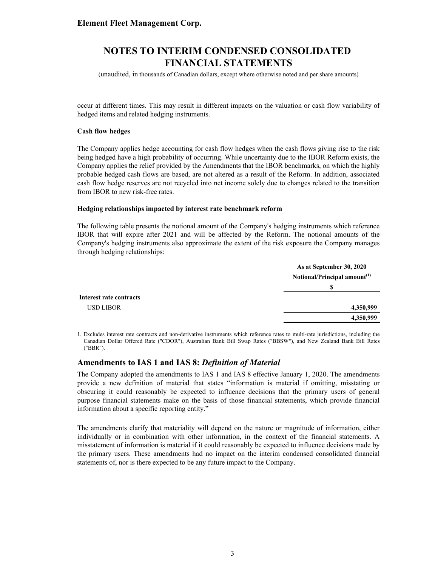(unaudited, in thousands of Canadian dollars, except where otherwise noted and per share amounts)

occur at different times. This may result in different impacts on the valuation or cash flow variability of hedged items and related hedging instruments.

#### **Cash flow hedges**

The Company applies hedge accounting for cash flow hedges when the cash flows giving rise to the risk being hedged have a high probability of occurring. While uncertainty due to the IBOR Reform exists, the Company applies the relief provided by the Amendments that the IBOR benchmarks, on which the highly probable hedged cash flows are based, are not altered as a result of the Reform. In addition, associated cash flow hedge reserves are not recycled into net income solely due to changes related to the transition from IBOR to new risk-free rates.

#### **Hedging relationships impacted by interest rate benchmark reform**

The following table presents the notional amount of the Company's hedging instruments which reference IBOR that will expire after 2021 and will be affected by the Reform. The notional amounts of the Company's hedging instruments also approximate the extent of the risk exposure the Company manages through hedging relationships:

|                         | As at September 30, 2020                 |
|-------------------------|------------------------------------------|
|                         | Notional/Principal amount <sup>(1)</sup> |
|                         | S                                        |
| Interest rate contracts |                                          |
| USD LIBOR               | 4,350,999                                |
|                         | 4,350,999                                |

1. Excludes interest rate contracts and non-derivative instruments which reference rates to multi-rate jurisdictions, including the Canadian Dollar Offered Rate ("CDOR"), Australian Bank Bill Swap Rates ("BBSW"), and New Zealand Bank Bill Rates ("BBR").

#### **Amendments to IAS 1 and IAS 8:** *Definition of Material*

The Company adopted the amendments to IAS 1 and IAS 8 effective January 1, 2020. The amendments provide a new definition of material that states "information is material if omitting, misstating or obscuring it could reasonably be expected to influence decisions that the primary users of general purpose financial statements make on the basis of those financial statements, which provide financial information about a specific reporting entity."

The amendments clarify that materiality will depend on the nature or magnitude of information, either individually or in combination with other information, in the context of the financial statements. A misstatement of information is material if it could reasonably be expected to influence decisions made by the primary users. These amendments had no impact on the interim condensed consolidated financial statements of, nor is there expected to be any future impact to the Company.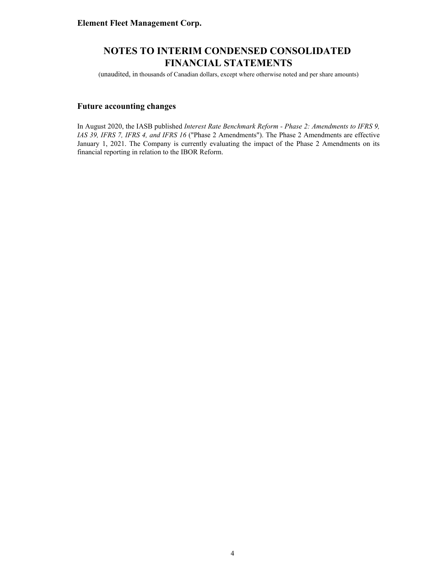(unaudited, in thousands of Canadian dollars, except where otherwise noted and per share amounts)

### **Future accounting changes**

In August 2020, the IASB published *Interest Rate Benchmark Reform - Phase 2: Amendments to IFRS 9, IAS 39, IFRS 7, IFRS 4, and IFRS 16* ("Phase 2 Amendments"). The Phase 2 Amendments are effective January 1, 2021. The Company is currently evaluating the impact of the Phase 2 Amendments on its financial reporting in relation to the IBOR Reform.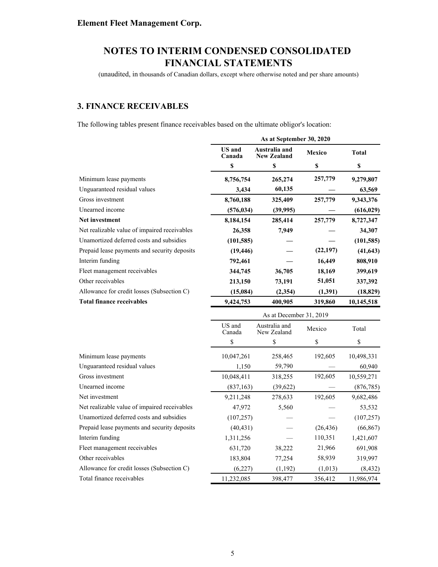(unaudited, in thousands of Canadian dollars, except where otherwise noted and per share amounts)

### **3. FINANCE RECEIVABLES**

The following tables present finance receivables based on the ultimate obligor's location:

|                                              | As at September 30, 2020 |                                     |           |              |  |
|----------------------------------------------|--------------------------|-------------------------------------|-----------|--------------|--|
|                                              | <b>US</b> and<br>Canada  | Australia and<br><b>New Zealand</b> | Mexico    | <b>Total</b> |  |
|                                              | \$                       | \$                                  | \$        | \$           |  |
| Minimum lease payments                       | 8,756,754                | 265,274                             | 257,779   | 9,279,807    |  |
| Unguaranteed residual values                 | 3,434                    | 60,135                              |           | 63,569       |  |
| Gross investment                             | 8,760,188                | 325,409                             | 257,779   | 9,343,376    |  |
| Unearned income                              | (576, 034)               | (39, 995)                           |           | (616, 029)   |  |
| <b>Net investment</b>                        | 8,184,154                | 285,414                             | 257,779   | 8,727,347    |  |
| Net realizable value of impaired receivables | 26,358                   | 7,949                               |           | 34,307       |  |
| Unamortized deferred costs and subsidies     | (101, 585)               |                                     |           | (101, 585)   |  |
| Prepaid lease payments and security deposits | (19, 446)                |                                     | (22, 197) | (41, 643)    |  |
| Interim funding                              | 792,461                  |                                     | 16,449    | 808,910      |  |
| Fleet management receivables                 | 344,745                  | 36,705                              | 18,169    | 399,619      |  |
| Other receivables                            | 213,150                  | 73,191                              | 51,051    | 337,392      |  |
| Allowance for credit losses (Subsection C)   | (15,084)                 | (2, 354)                            | (1, 391)  | (18, 829)    |  |
| <b>Total finance receivables</b>             | 9,424,753                | 400,905                             | 319,860   | 10,145,518   |  |
|                                              | As at December 31, 2019  |                                     |           |              |  |
|                                              | US and<br>Canada         | Australia and<br>New Zealand        | Mexico    | Total        |  |
|                                              | \$                       | \$                                  | \$        | \$           |  |
| Minimum lease payments                       | 10,047,261               | 258,465                             | 192,605   | 10,498,331   |  |
| Unguaranteed residual values                 | 1,150                    | 59,790                              |           | 60,940       |  |
| Gross investment                             | 10,048,411               | 318,255                             | 192,605   | 10,559,271   |  |
| Unearned income                              | (837, 163)               | (39,622)                            |           | (876, 785)   |  |
| Net investment                               | 9,211,248                | 278,633                             | 192,605   | 9,682,486    |  |
| Net realizable value of impaired receivables | 47,972                   | 5,560                               |           | 53,532       |  |
| Unamortized deferred costs and subsidies     | (107, 257)               |                                     |           | (107, 257)   |  |
| Prepaid lease payments and security deposits | (40, 431)                |                                     | (26, 436) | (66, 867)    |  |
| Interim funding                              | 1,311,256                |                                     | 110,351   | 1,421,607    |  |
| Fleet management receivables                 | 631,720                  | 38,222                              | 21,966    | 691,908      |  |
| Other receivables                            | 183,804                  | 77,254                              | 58,939    | 319,997      |  |
| Allowance for credit losses (Subsection C)   | (6,227)                  | (1, 192)                            | (1,013)   | (8, 432)     |  |
| Total finance receivables                    | 11,232,085               | 398,477                             | 356,412   | 11,986,974   |  |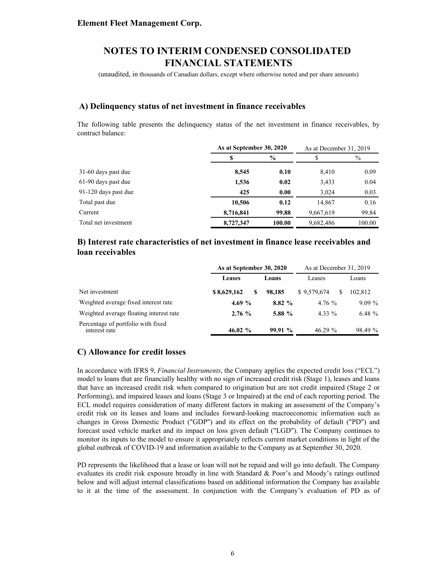(unaudited, in thousands of Canadian dollars, except where otherwise noted and per share amounts)

### **A) Delinquency status of net investment in finance receivables**

The following table presents the delinquency status of the net investment in finance receivables, by contract balance:

|                      |           | As at September 30, 2020 |           | As at December 31, 2019 |
|----------------------|-----------|--------------------------|-----------|-------------------------|
|                      |           | $\frac{0}{0}$            |           | $\%$                    |
| 31-60 days past due  | 8,545     | 0.10                     | 8,410     | 0.09                    |
| 61-90 days past due  | 1,536     | 0.02                     | 3,433     | 0.04                    |
| 91-120 days past due | 425       | 0.00                     | 3.024     | 0.03                    |
| Total past due       | 10,506    | 0.12                     | 14.867    | 0.16                    |
| Current              | 8,716,841 | 99.88                    | 9,667,619 | 99.84                   |
| Total net investment | 8,727,347 | 100.00                   | 9,682,486 | 100.00                  |

### **B) Interest rate characteristics of net investment in finance lease receivables and loan receivables**

|                                                     | As at September 30, 2020 |          | As at December 31, 2019 |          |  |
|-----------------------------------------------------|--------------------------|----------|-------------------------|----------|--|
|                                                     | <b>Leases</b>            | Loans    | Leases                  | Loans    |  |
| Net investment                                      | \$8,629,162<br>S.        | 98.185   | \$9.579.674             | 102.812  |  |
| Weighted average fixed interest rate                | 4.69 $%$                 | 8.82%    | 4.76%                   | $9.09\%$ |  |
| Weighted average floating interest rate             | 2.76%                    | 5.88 $%$ | $4.33\%$                | 6.48 $%$ |  |
| Percentage of portfolio with fixed<br>interest rate | 46.02 $\%$               | 99.91 %  | $46.29\%$               | 98.49 %  |  |

### **C) Allowance for credit losses**

In accordance with IFRS 9, *Financial Instruments*, the Company applies the expected credit loss ("ECL") model to loans that are financially healthy with no sign of increased credit risk (Stage 1), leases and loans that have an increased credit risk when compared to origination but are not credit impaired (Stage 2 or Performing), and impaired leases and loans (Stage 3 or Impaired) at the end of each reporting period. The ECL model requires consideration of many different factors in making an assessment of the Company's credit risk on its leases and loans and includes forward-looking macroeconomic information such as changes in Gross Domestic Product ("GDP") and its effect on the probability of default ("PD") and forecast used vehicle market and its impact on loss given default ("LGD"). The Company continues to monitor its inputs to the model to ensure it appropriately reflects current market conditions in light of the global outbreak of COVID-19 and information available to the Company as at September 30, 2020.

PD represents the likelihood that a lease or loan will not be repaid and will go into default. The Company evaluates its credit risk exposure broadly in line with Standard & Poor's and Moody's ratings outlined below and will adjust internal classifications based on additional information the Company has available to it at the time of the assessment. In conjunction with the Company's evaluation of PD as of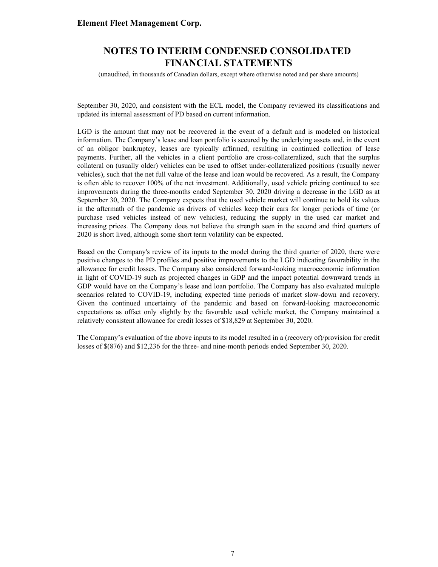### **NOTES TO INTERIM CONDENSED CONSOLIDATED FINANCIAL STATEMENTS**

(unaudited, in thousands of Canadian dollars, except where otherwise noted and per share amounts)

September 30, 2020, and consistent with the ECL model, the Company reviewed its classifications and updated its internal assessment of PD based on current information.

LGD is the amount that may not be recovered in the event of a default and is modeled on historical information. The Company's lease and loan portfolio is secured by the underlying assets and, in the event of an obligor bankruptcy, leases are typically affirmed, resulting in continued collection of lease payments. Further, all the vehicles in a client portfolio are cross-collateralized, such that the surplus collateral on (usually older) vehicles can be used to offset under-collateralized positions (usually newer vehicles), such that the net full value of the lease and loan would be recovered. As a result, the Company is often able to recover 100% of the net investment. Additionally, used vehicle pricing continued to see improvements during the three-months ended September 30, 2020 driving a decrease in the LGD as at September 30, 2020. The Company expects that the used vehicle market will continue to hold its values in the aftermath of the pandemic as drivers of vehicles keep their cars for longer periods of time (or purchase used vehicles instead of new vehicles), reducing the supply in the used car market and increasing prices. The Company does not believe the strength seen in the second and third quarters of 2020 is short lived, although some short term volatility can be expected.

Based on the Company's review of its inputs to the model during the third quarter of 2020, there were positive changes to the PD profiles and positive improvements to the LGD indicating favorability in the allowance for credit losses. The Company also considered forward-looking macroeconomic information in light of COVID-19 such as projected changes in GDP and the impact potential downward trends in GDP would have on the Company's lease and loan portfolio. The Company has also evaluated multiple scenarios related to COVID-19, including expected time periods of market slow-down and recovery. Given the continued uncertainty of the pandemic and based on forward-looking macroeconomic expectations as offset only slightly by the favorable used vehicle market, the Company maintained a relatively consistent allowance for credit losses of \$18,829 at September 30, 2020.

The Company's evaluation of the above inputs to its model resulted in a (recovery of)/provision for credit losses of \$(876) and \$12,236 for the three- and nine-month periods ended September 30, 2020.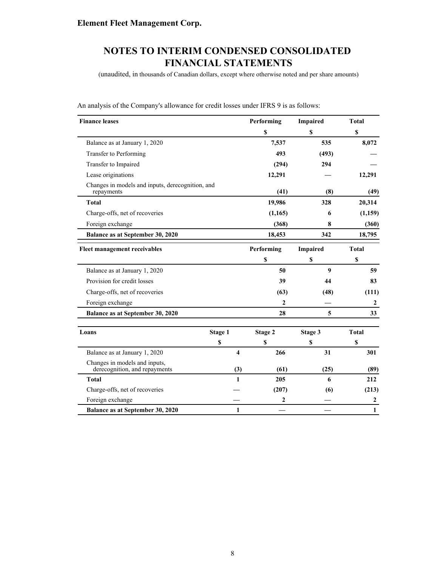(unaudited, in thousands of Canadian dollars, except where otherwise noted and per share amounts)

| <b>Finance leases</b>                                          |         | Performing |                           | <b>Impaired</b> | <b>Total</b> |
|----------------------------------------------------------------|---------|------------|---------------------------|-----------------|--------------|
|                                                                |         |            | $\boldsymbol{s}$          | $\mathbf S$     | \$           |
| Balance as at January 1, 2020                                  |         |            | 7,537                     | 535             | 8,072        |
| Transfer to Performing                                         |         |            | 493                       | (493)           |              |
| Transfer to Impaired                                           |         |            | (294)                     | 294             |              |
| Lease originations                                             |         |            | 12,291                    |                 | 12,291       |
| Changes in models and inputs, derecognition, and<br>repayments |         |            | (41)                      | (8)             | (49)         |
| <b>Total</b>                                                   |         |            | 19,986                    | 328             | 20,314       |
| Charge-offs, net of recoveries                                 |         |            | (1, 165)                  | 6               | (1, 159)     |
| Foreign exchange                                               |         |            | (368)                     | 8               | (360)        |
| Balance as at September 30, 2020                               |         |            | 18,453                    | 342             | 18,795       |
| Fleet management receivables                                   |         |            | Performing                | Impaired        | <b>Total</b> |
|                                                                |         |            | $\boldsymbol{\mathsf{s}}$ | \$              | \$           |
| Balance as at January 1, 2020                                  |         |            | 50                        | 9               | 59           |
| Provision for credit losses                                    |         |            | 39                        | 44              | 83           |
| Charge-offs, net of recoveries                                 |         |            | (63)                      | (48)            | (111)        |
| Foreign exchange                                               |         |            | $\mathbf{2}$              |                 | $\mathbf{2}$ |
| Balance as at September 30, 2020                               |         |            | 28                        | 5               | 33           |
| Loans                                                          | Stage 1 |            | Stage 2                   | Stage 3         | <b>Total</b> |
|                                                                | \$      |            | \$                        | \$              | S            |
| Balance as at January 1, 2020                                  |         | 4          | 266                       | 31              | 301          |
| Changes in models and inputs,<br>derecognition, and repayments |         | (3)        | (61)                      | (25)            | (89)         |
| <b>Total</b>                                                   |         | 1          | 205                       | 6               | 212          |
| Charge-offs, net of recoveries                                 |         |            | (207)                     | (6)             | (213)        |
| Foreign exchange                                               |         |            | 2                         |                 | 2            |
| <b>Balance as at September 30, 2020</b>                        |         | 1          |                           |                 | 1            |

An analysis of the Company's allowance for credit losses under IFRS 9 is as follows: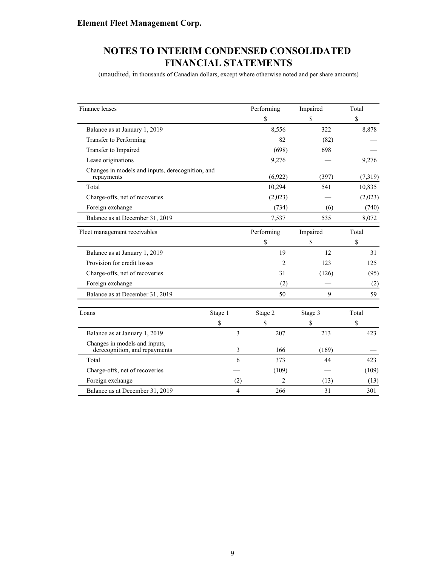(unaudited, in thousands of Canadian dollars, except where otherwise noted and per share amounts)

| Finance leases                                                 |         |                | Performing     | Impaired | Total   |
|----------------------------------------------------------------|---------|----------------|----------------|----------|---------|
|                                                                |         |                | \$             | \$       | \$      |
| Balance as at January 1, 2019                                  |         |                | 8,556          | 322      | 8,878   |
| Transfer to Performing                                         |         |                | 82             | (82)     |         |
| Transfer to Impaired                                           |         |                | (698)          | 698      |         |
| Lease originations                                             |         |                | 9,276          |          | 9,276   |
| Changes in models and inputs, derecognition, and<br>repayments |         |                | (6,922)        | (397)    | (7,319) |
| Total                                                          |         |                | 10,294         | 541      | 10,835  |
| Charge-offs, net of recoveries                                 |         |                | (2,023)        |          | (2,023) |
| Foreign exchange                                               |         |                | (734)          | (6)      | (740)   |
| Balance as at December 31, 2019                                |         |                | 7,537          | 535      | 8,072   |
| Fleet management receivables                                   |         |                | Performing     | Impaired | Total   |
|                                                                |         |                | \$             | \$       | \$      |
| Balance as at January 1, 2019                                  |         |                | 19             | 12       | 31      |
| Provision for credit losses                                    |         |                | $\overline{2}$ | 123      | 125     |
| Charge-offs, net of recoveries                                 |         |                | 31             | (126)    | (95)    |
| Foreign exchange                                               |         |                | (2)            |          | (2)     |
| Balance as at December 31, 2019                                |         |                | 50             | 9        | 59      |
| Loans                                                          | Stage 1 |                | Stage 2        | Stage 3  | Total   |
|                                                                | \$      |                | \$             | \$       | \$      |
| Balance as at January 1, 2019                                  |         | 3              | 207            | 213      | 423     |
| Changes in models and inputs,<br>derecognition, and repayments |         | 3              | 166            | (169)    |         |
| Total                                                          |         | 6              | 373            | 44       | 423     |
| Charge-offs, net of recoveries                                 |         |                | (109)          |          | (109)   |
| Foreign exchange                                               |         | (2)            | 2              | (13)     | (13)    |
| Balance as at December 31, 2019                                |         | $\overline{4}$ | 266            | 31       | 301     |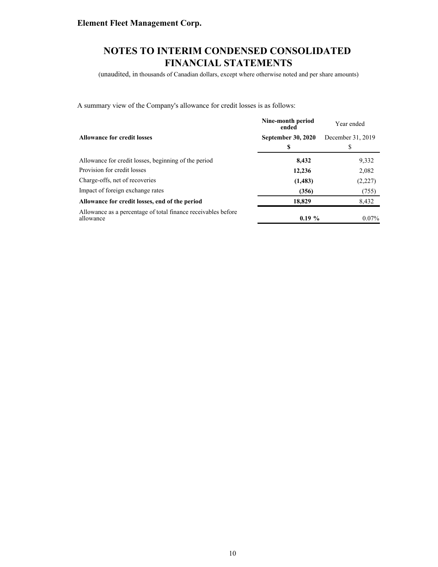(unaudited, in thousands of Canadian dollars, except where otherwise noted and per share amounts)

A summary view of the Company's allowance for credit losses is as follows:

|                                                                            | Nine-month period<br>ended | Year ended        |
|----------------------------------------------------------------------------|----------------------------|-------------------|
| <b>Allowance for credit losses</b>                                         | <b>September 30, 2020</b>  | December 31, 2019 |
|                                                                            | \$                         | S                 |
| Allowance for credit losses, beginning of the period                       | 8,432                      | 9,332             |
| Provision for credit losses                                                | 12,236                     | 2,082             |
| Charge-offs, net of recoveries                                             | (1, 483)                   | (2,227)           |
| Impact of foreign exchange rates                                           | (356)                      | (755)             |
| Allowance for credit losses, end of the period                             | 18,829                     | 8,432             |
| Allowance as a percentage of total finance receivables before<br>allowance | $0.19\%$                   | $0.07\%$          |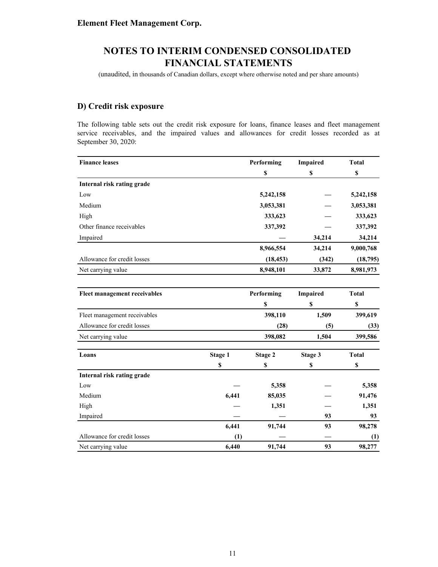(unaudited, in thousands of Canadian dollars, except where otherwise noted and per share amounts)

### **D) Credit risk exposure**

The following table sets out the credit risk exposure for loans, finance leases and fleet management service receivables, and the impaired values and allowances for credit losses recorded as at September 30, 2020:

| <b>Finance leases</b>        |         | Performing | <b>Impaired</b> | <b>Total</b> |
|------------------------------|---------|------------|-----------------|--------------|
|                              |         | \$         | \$              | \$           |
| Internal risk rating grade   |         |            |                 |              |
| Low                          |         | 5,242,158  |                 | 5,242,158    |
| Medium                       |         | 3,053,381  |                 | 3,053,381    |
| High                         |         | 333,623    |                 | 333,623      |
| Other finance receivables    |         | 337,392    |                 | 337,392      |
| Impaired                     |         |            | 34,214          | 34,214       |
|                              |         | 8,966,554  | 34,214          | 9,000,768    |
| Allowance for credit losses  |         | (18, 453)  | (342)           | (18,795)     |
| Net carrying value           |         | 8,948,101  | 33,872          | 8,981,973    |
|                              |         |            |                 |              |
| Fleet management receivables |         | Performing | <b>Impaired</b> | <b>Total</b> |
|                              |         | \$         | \$              | \$           |
| Fleet management receivables |         | 398,110    | 1,509           | 399,619      |
| Allowance for credit losses  |         | (28)       | (5)             | (33)         |
| Net carrying value           |         | 398,082    | 1,504           | 399,586      |
| Loans                        | Stage 1 | Stage 2    | Stage 3         | <b>Total</b> |
|                              | \$      | \$         | \$              | \$           |
| Internal risk rating grade   |         |            |                 |              |
| Low                          |         | 5,358      |                 | 5,358        |
| Medium                       | 6,441   | 85,035     |                 | 91,476       |
| High                         |         | 1,351      |                 | 1,351        |
| Impaired                     |         |            | 93              | 93           |
|                              | 6,441   | 91,744     | 93              | 98,278       |
| Allowance for credit losses  | (1)     |            |                 | (1)          |
| Net carrying value           | 6,440   | 91,744     | 93              | 98,277       |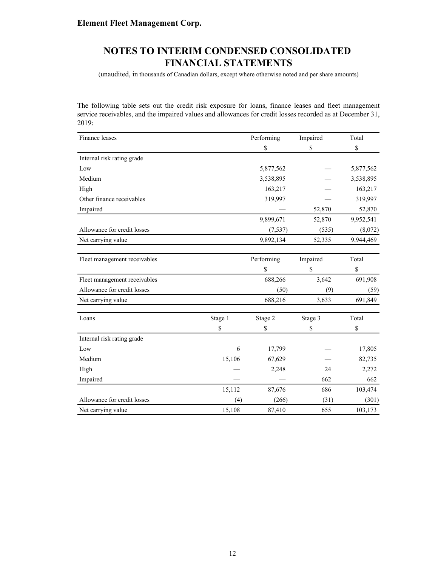(unaudited, in thousands of Canadian dollars, except where otherwise noted and per share amounts)

The following table sets out the credit risk exposure for loans, finance leases and fleet management service receivables, and the impaired values and allowances for credit losses recorded as at December 31, 2019:

| Finance leases               |         | Performing | Impaired | Total     |
|------------------------------|---------|------------|----------|-----------|
|                              |         | \$         | \$       | \$        |
| Internal risk rating grade   |         |            |          |           |
| Low                          |         | 5,877,562  |          | 5,877,562 |
| Medium                       |         | 3,538,895  |          | 3,538,895 |
| High                         |         | 163,217    |          | 163,217   |
| Other finance receivables    |         | 319,997    |          | 319,997   |
| Impaired                     |         |            | 52,870   | 52,870    |
|                              |         | 9,899,671  | 52,870   | 9,952,541 |
| Allowance for credit losses  |         | (7, 537)   | (535)    | (8,072)   |
| Net carrying value           |         | 9,892,134  | 52,335   | 9,944,469 |
|                              |         |            |          |           |
| Fleet management receivables |         | Performing | Impaired | Total     |
|                              |         | \$         | \$       | \$        |
| Fleet management receivables |         | 688,266    | 3,642    | 691,908   |
| Allowance for credit losses  |         | (50)       | (9)      | (59)      |
| Net carrying value           |         | 688,216    | 3,633    | 691,849   |
| Loans                        | Stage 1 | Stage 2    | Stage 3  | Total     |
|                              | \$      | \$         | \$       | \$        |
| Internal risk rating grade   |         |            |          |           |
| Low                          | 6       | 17,799     |          | 17,805    |
| Medium                       | 15,106  | 67,629     |          | 82,735    |
| High                         |         | 2,248      | 24       | 2,272     |
| Impaired                     |         |            | 662      | 662       |
|                              | 15,112  | 87,676     | 686      | 103,474   |
| Allowance for credit losses  | (4)     | (266)      | (31)     | (301)     |
| Net carrying value           | 15,108  | 87,410     | 655      | 103,173   |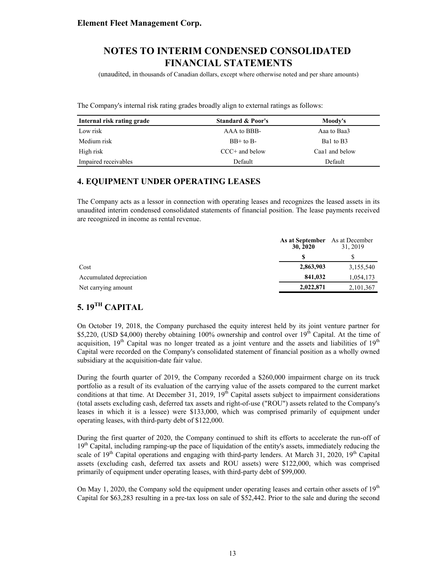(unaudited, in thousands of Canadian dollars, except where otherwise noted and per share amounts)

The Company's internal risk rating grades broadly align to external ratings as follows:

| Internal risk rating grade | <b>Standard &amp; Poor's</b> | Moody's        |
|----------------------------|------------------------------|----------------|
| Low risk                   | AAA to BBB-                  | Aaa to Baa3    |
| Medium risk                | $BB+$ to $B-$                | Bal to B3      |
| High risk                  | $CCC+$ and below             | Caa1 and below |
| Impaired receivables       | Default                      | Default        |

### **4. EQUIPMENT UNDER OPERATING LEASES**

The Company acts as a lessor in connection with operating leases and recognizes the leased assets in its unaudited interim condensed consolidated statements of financial position. The lease payments received are recognized in income as rental revenue.

|                          | As at September<br>30, 2020 | As at December<br>31, 2019 |
|--------------------------|-----------------------------|----------------------------|
|                          |                             |                            |
| Cost                     | 2,863,903                   | 3,155,540                  |
| Accumulated depreciation | 841,032                     | 1,054,173                  |
| Net carrying amount      | 2,022,871                   | 2,101,367                  |

### **5. 19TH CAPITAL**

On October 19, 2018, the Company purchased the equity interest held by its joint venture partner for \$5,220, (USD \$4,000) thereby obtaining 100% ownership and control over 19<sup>th</sup> Capital. At the time of acquisition,  $19<sup>th</sup>$  Capital was no longer treated as a joint venture and the assets and liabilities of  $19<sup>th</sup>$ Capital were recorded on the Company's consolidated statement of financial position as a wholly owned subsidiary at the acquisition-date fair value.

During the fourth quarter of 2019, the Company recorded a \$260,000 impairment charge on its truck portfolio as a result of its evaluation of the carrying value of the assets compared to the current market conditions at that time. At December 31, 2019,  $19<sup>th</sup>$  Capital assets subject to impairment considerations (total assets excluding cash, deferred tax assets and right-of-use ("ROU") assets related to the Company's leases in which it is a lessee) were \$133,000, which was comprised primarily of equipment under operating leases, with third-party debt of \$122,000.

During the first quarter of 2020, the Company continued to shift its efforts to accelerate the run-off of  $19<sup>th</sup>$  Capital, including ramping-up the pace of liquidation of the entity's assets, immediately reducing the scale of  $19<sup>th</sup>$  Capital operations and engaging with third-party lenders. At March 31, 2020,  $19<sup>th</sup>$  Capital assets (excluding cash, deferred tax assets and ROU assets) were \$122,000, which was comprised primarily of equipment under operating leases, with third-party debt of \$99,000.

On May 1, 2020, the Company sold the equipment under operating leases and certain other assets of  $19<sup>th</sup>$ Capital for \$63,283 resulting in a pre-tax loss on sale of \$52,442. Prior to the sale and during the second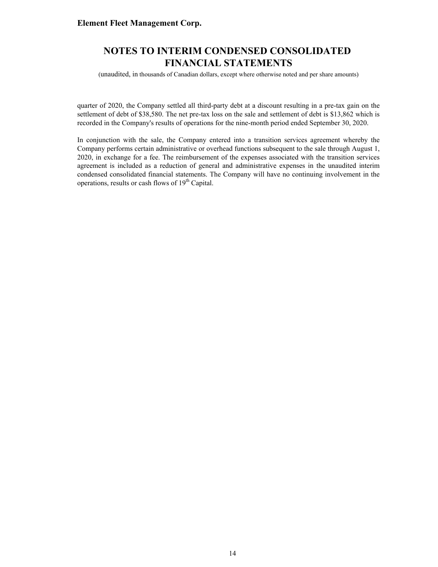### **NOTES TO INTERIM CONDENSED CONSOLIDATED FINANCIAL STATEMENTS**

(unaudited, in thousands of Canadian dollars, except where otherwise noted and per share amounts)

quarter of 2020, the Company settled all third-party debt at a discount resulting in a pre-tax gain on the settlement of debt of \$38,580. The net pre-tax loss on the sale and settlement of debt is \$13,862 which is recorded in the Company's results of operations for the nine-month period ended September 30, 2020.

In conjunction with the sale, the Company entered into a transition services agreement whereby the Company performs certain administrative or overhead functions subsequent to the sale through August 1, 2020, in exchange for a fee. The reimbursement of the expenses associated with the transition services agreement is included as a reduction of general and administrative expenses in the unaudited interim condensed consolidated financial statements. The Company will have no continuing involvement in the operations, results or cash flows of  $19<sup>th</sup>$  Capital.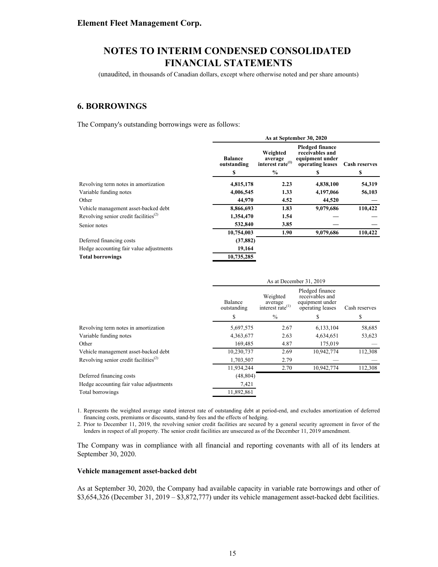(unaudited, in thousands of Canadian dollars, except where otherwise noted and per share amounts)

### **6. BORROWINGS**

The Company's outstanding borrowings were as follows:

|                                                                | As at September 30, 2020            |                                                                      |                                                                                       |                           |  |  |
|----------------------------------------------------------------|-------------------------------------|----------------------------------------------------------------------|---------------------------------------------------------------------------------------|---------------------------|--|--|
|                                                                | <b>Balance</b><br>outstanding<br>\$ | Weighted<br>average<br>interest rate <sup>(1)</sup><br>$\frac{6}{9}$ | <b>Pledged finance</b><br>receivables and<br>equipment under<br>operating leases<br>S | <b>Cash reserves</b><br>S |  |  |
| Revolving term notes in amortization                           | 4,815,178                           | 2.23                                                                 | 4,838,100                                                                             | 54,319                    |  |  |
| Variable funding notes                                         | 4,006,545                           | 1.33                                                                 | 4,197,066                                                                             | 56,103                    |  |  |
| Other                                                          | 44,970                              | 4.52                                                                 | 44,520                                                                                |                           |  |  |
| Vehicle management asset-backed debt                           | 8,866,693                           | 1.83                                                                 | 9,079,686                                                                             | 110,422                   |  |  |
| Revolving senior credit facilities <sup><math>(2)</math></sup> | 1,354,470                           | 1.54                                                                 |                                                                                       |                           |  |  |
| Senior notes                                                   | 532,840                             | 3.85                                                                 |                                                                                       |                           |  |  |
|                                                                | 10,754,003                          | 1.90                                                                 | 9,079,686                                                                             | 110,422                   |  |  |
| Deferred financing costs                                       | (37, 882)                           |                                                                      |                                                                                       |                           |  |  |
| Hedge accounting fair value adjustments                        | 19,164                              |                                                                      |                                                                                       |                           |  |  |
| <b>Total borrowings</b>                                        | 10,735,285                          |                                                                      |                                                                                       |                           |  |  |

|                                                                |                        | As at December 31, 2019                             |                                                                           |               |  |  |
|----------------------------------------------------------------|------------------------|-----------------------------------------------------|---------------------------------------------------------------------------|---------------|--|--|
|                                                                | Balance<br>outstanding | Weighted<br>average<br>interest rate <sup>(1)</sup> | Pledged finance<br>receivables and<br>equipment under<br>operating leases | Cash reserves |  |  |
|                                                                | \$                     | $\frac{0}{0}$                                       |                                                                           | \$            |  |  |
| Revolving term notes in amortization                           | 5,697,575              | 2.67                                                | 6, 133, 104                                                               | 58,685        |  |  |
| Variable funding notes                                         | 4,363,677              | 2.63                                                | 4,634,651                                                                 | 53,623        |  |  |
| Other                                                          | 169,485                | 4.87                                                | 175,019                                                                   |               |  |  |
| Vehicle management asset-backed debt                           | 10,230,737             | 2.69                                                | 10,942,774                                                                | 112,308       |  |  |
| Revolving senior credit facilities <sup><math>(2)</math></sup> | 1,703,507              | 2.79                                                |                                                                           |               |  |  |
|                                                                | 11,934,244             | 2.70                                                | 10,942,774                                                                | 112,308       |  |  |
| Deferred financing costs                                       | (48, 804)              |                                                     |                                                                           |               |  |  |
| Hedge accounting fair value adjustments                        | 7,421                  |                                                     |                                                                           |               |  |  |
| Total borrowings                                               | 11,892,861             |                                                     |                                                                           |               |  |  |

1. Represents the weighted average stated interest rate of outstanding debt at period-end, and excludes amortization of deferred financing costs, premiums or discounts, stand-by fees and the effects of hedging.

2. Prior to December 11, 2019, the revolving senior credit facilities are secured by a general security agreement in favor of the lenders in respect of all property. The senior credit facilities are unsecured as of the December 11, 2019 amendment.

The Company was in compliance with all financial and reporting covenants with all of its lenders at September 30, 2020.

#### **Vehicle management asset-backed debt**

As at September 30, 2020, the Company had available capacity in variable rate borrowings and other of \$3,654,326 (December 31, 2019 – \$3,872,777) under its vehicle management asset-backed debt facilities.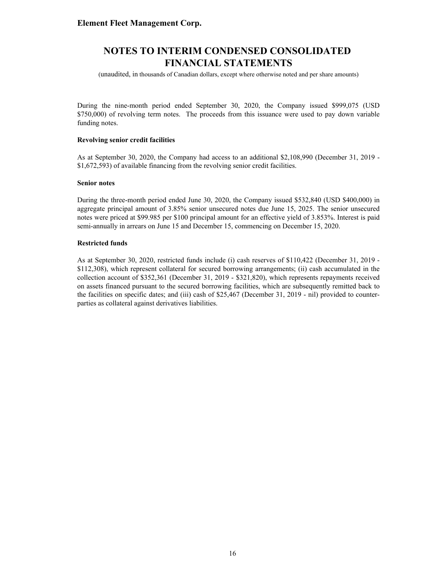(unaudited, in thousands of Canadian dollars, except where otherwise noted and per share amounts)

During the nine-month period ended September 30, 2020, the Company issued \$999,075 (USD \$750,000) of revolving term notes. The proceeds from this issuance were used to pay down variable funding notes.

#### **Revolving senior credit facilities**

As at September 30, 2020, the Company had access to an additional \$2,108,990 (December 31, 2019 - \$1,672,593) of available financing from the revolving senior credit facilities.

#### **Senior notes**

During the three-month period ended June 30, 2020, the Company issued \$532,840 (USD \$400,000) in aggregate principal amount of 3.85% senior unsecured notes due June 15, 2025. The senior unsecured notes were priced at \$99.985 per \$100 principal amount for an effective yield of 3.853%. Interest is paid semi-annually in arrears on June 15 and December 15, commencing on December 15, 2020.

#### **Restricted funds**

As at September 30, 2020, restricted funds include (i) cash reserves of \$110,422 (December 31, 2019 - \$112,308), which represent collateral for secured borrowing arrangements; (ii) cash accumulated in the collection account of \$352,361 (December 31, 2019 - \$321,820), which represents repayments received on assets financed pursuant to the secured borrowing facilities, which are subsequently remitted back to the facilities on specific dates; and (iii) cash of \$25,467 (December 31, 2019 - nil) provided to counterparties as collateral against derivatives liabilities.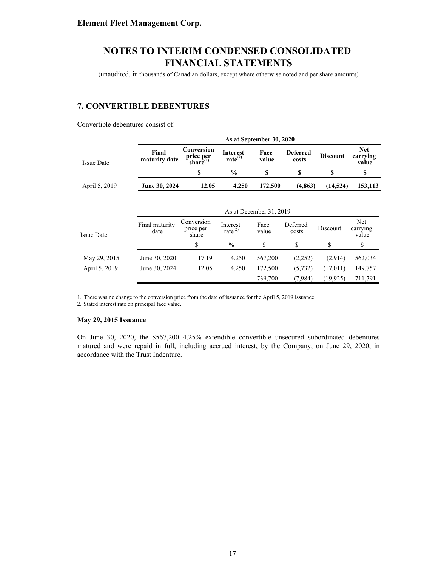(unaudited, in thousands of Canadian dollars, except where otherwise noted and per share amounts)

### **7. CONVERTIBLE DEBENTURES**

Convertible debentures consist of:

|                   |                        | As at September 30, 2020                  |                                        |                         |                          |                 |                                 |  |  |
|-------------------|------------------------|-------------------------------------------|----------------------------------------|-------------------------|--------------------------|-----------------|---------------------------------|--|--|
| <b>Issue Date</b> | Final<br>maturity date | Conversion<br>price per<br>share $^{(1)}$ | <b>Interest</b><br>rate <sup>(2)</sup> | Face<br>value           | <b>Deferred</b><br>costs | <b>Discount</b> | <b>Net</b><br>carrying<br>value |  |  |
|                   |                        | \$                                        | $\frac{0}{0}$                          | \$                      | \$                       | S               | \$                              |  |  |
| April 5, 2019     | June 30, 2024          | 12.05                                     | 4.250                                  | 172,500                 | (4, 863)                 | (14, 524)       | 153,113                         |  |  |
|                   |                        |                                           |                                        | As at December 31, 2019 |                          |                 |                                 |  |  |
| <b>Issue Date</b> | Final maturity<br>date | Conversion<br>price per<br>share          | Interest<br>rate $^{(2)}$              | Face<br>value           | Deferred<br>costs        | Discount        | Net<br>carrying<br>value        |  |  |
|                   |                        | \$                                        | $\frac{0}{0}$                          | \$                      | \$                       | \$              | \$                              |  |  |
| May 29, 2015      | June 30, 2020          | 17.19                                     | 4.250                                  | 567,200                 | (2,252)                  | (2,914)         | 562,034                         |  |  |
| April 5, 2019     | June 30, 2024          | 12.05                                     | 4.250                                  | 172,500                 | (5, 732)                 | (17,011)        | 149,757                         |  |  |
|                   |                        |                                           |                                        | 739,700                 | (7,984)                  | (19, 925)       | 711,791                         |  |  |

1. There was no change to the conversion price from the date of issuance for the April 5, 2019 issuance.

2. Stated interest rate on principal face value.

#### **May 29, 2015 Issuance**

On June 30, 2020, the \$567,200 4.25% extendible convertible unsecured subordinated debentures matured and were repaid in full, including accrued interest, by the Company, on June 29, 2020, in accordance with the Trust Indenture.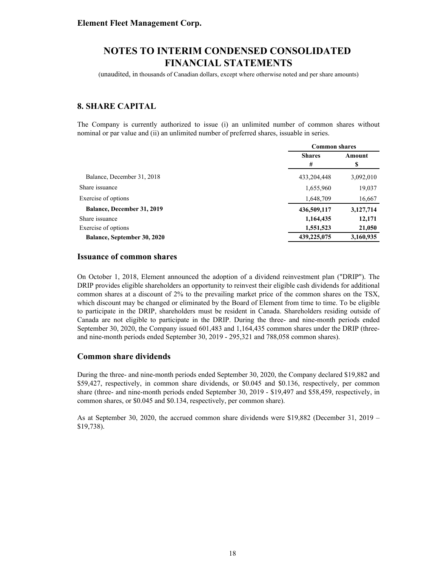(unaudited, in thousands of Canadian dollars, except where otherwise noted and per share amounts)

### **8. SHARE CAPITAL**

The Company is currently authorized to issue (i) an unlimited number of common shares without nominal or par value and (ii) an unlimited number of preferred shares, issuable in series.

|                                    | <b>Common shares</b> |           |  |
|------------------------------------|----------------------|-----------|--|
|                                    | <b>Shares</b>        | Amount    |  |
|                                    | #                    | \$        |  |
| Balance, December 31, 2018         | 433,204,448          | 3,092,010 |  |
| Share issuance                     | 1,655,960            | 19,037    |  |
| Exercise of options                | 1,648,709            | 16,667    |  |
| <b>Balance, December 31, 2019</b>  | 436,509,117          | 3,127,714 |  |
| Share issuance                     | 1,164,435            | 12,171    |  |
| Exercise of options                | 1,551,523            | 21,050    |  |
| <b>Balance, September 30, 2020</b> | 439,225,075          | 3,160,935 |  |

#### **Issuance of common shares**

On October 1, 2018, Element announced the adoption of a dividend reinvestment plan ("DRIP"). The DRIP provides eligible shareholders an opportunity to reinvest their eligible cash dividends for additional common shares at a discount of 2% to the prevailing market price of the common shares on the TSX, which discount may be changed or eliminated by the Board of Element from time to time. To be eligible to participate in the DRIP, shareholders must be resident in Canada. Shareholders residing outside of Canada are not eligible to participate in the DRIP. During the three- and nine-month periods ended September 30, 2020, the Company issued 601,483 and 1,164,435 common shares under the DRIP (threeand nine-month periods ended September 30, 2019 - 295,321 and 788,058 common shares).

#### **Common share dividends**

During the three- and nine-month periods ended September 30, 2020, the Company declared \$19,882 and \$59,427, respectively, in common share dividends, or \$0.045 and \$0.136, respectively, per common share (three- and nine-month periods ended September 30, 2019 - \$19,497 and \$58,459, respectively, in common shares, or \$0.045 and \$0.134, respectively, per common share).

As at September 30, 2020, the accrued common share dividends were \$19,882 (December 31, 2019 – \$19,738).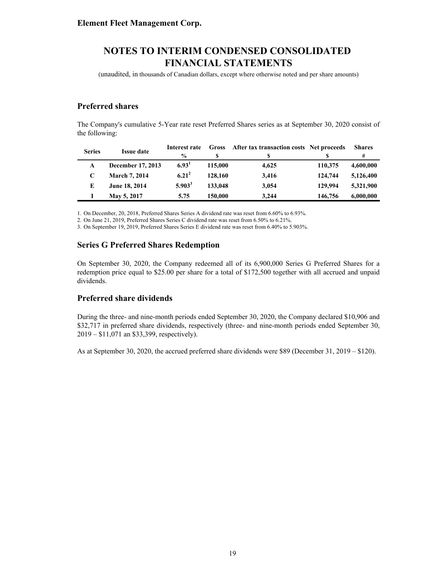(unaudited, in thousands of Canadian dollars, except where otherwise noted and per share amounts)

### **Preferred shares**

The Company's cumulative 5-Year rate reset Preferred Shares series as at September 30, 2020 consist of the following:

| <b>Series</b> | <b>Issue date</b>    | Interest rate     | <b>Gross</b> | After tax transaction costs Net proceeds |         | <b>Shares</b> |
|---------------|----------------------|-------------------|--------------|------------------------------------------|---------|---------------|
|               |                      | $\frac{0}{0}$     |              | S                                        |         | #             |
| A             | December 17, 2013    | 6.93 <sup>1</sup> | 115,000      | 4,625                                    | 110,375 | 4,600,000     |
|               | <b>March 7, 2014</b> | $6.21^{2}$        | 128,160      | 3.416                                    | 124,744 | 5,126,400     |
| E             | June 18, 2014        | $5.903^3$         | 133,048      | 3,054                                    | 129,994 | 5.321,900     |
|               | May 5, 2017          | 5.75              | 150.000      | 3.244                                    | 146,756 | 6,000,000     |

1. On December, 20, 2018, Preferred Shares Series A dividend rate was reset from 6.60% to 6.93%.

2. On June 21, 2019, Preferred Shares Series C dividend rate was reset from 6.50% to 6.21%.

3. On September 19, 2019, Preferred Shares Series E dividend rate was reset from 6.40% to 5.903%.

### **Series G Preferred Shares Redemption**

On September 30, 2020, the Company redeemed all of its 6,900,000 Series G Preferred Shares for a redemption price equal to \$25.00 per share for a total of \$172,500 together with all accrued and unpaid dividends.

#### **Preferred share dividends**

During the three- and nine-month periods ended September 30, 2020, the Company declared \$10,906 and \$32,717 in preferred share dividends, respectively (three- and nine-month periods ended September 30, 2019 – \$11,071 an \$33,399, respectively).

As at September 30, 2020, the accrued preferred share dividends were \$89 (December 31, 2019 – \$120).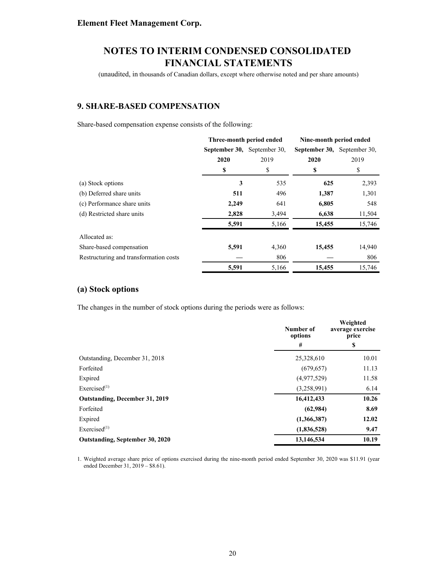(unaudited, in thousands of Canadian dollars, except where otherwise noted and per share amounts)

### **9. SHARE-BASED COMPENSATION**

Share-based compensation expense consists of the following:

|                                        | Three-month period ended    |       | Nine-month period ended     |        |
|----------------------------------------|-----------------------------|-------|-----------------------------|--------|
|                                        | September 30, September 30, |       | September 30, September 30, |        |
|                                        | 2020                        | 2019  | 2020                        | 2019   |
|                                        | \$                          | \$    | \$                          | \$     |
| (a) Stock options                      | 3                           | 535   | 625                         | 2,393  |
| (b) Deferred share units               | 511                         | 496   | 1,387                       | 1,301  |
| (c) Performance share units            | 2,249                       | 641   | 6,805                       | 548    |
| (d) Restricted share units             | 2,828                       | 3,494 | 6,638                       | 11,504 |
|                                        | 5,591                       | 5,166 | 15,455                      | 15,746 |
| Allocated as:                          |                             |       |                             |        |
| Share-based compensation               | 5,591                       | 4,360 | 15,455                      | 14,940 |
| Restructuring and transformation costs |                             | 806   |                             | 806    |
|                                        | 5,591                       | 5,166 | 15,455                      | 15,746 |

#### **(a) Stock options**

The changes in the number of stock options during the periods were as follows:

|                                 | Number of<br>options | Weighted<br>average exercise<br>price |  |
|---------------------------------|----------------------|---------------------------------------|--|
|                                 | #                    | \$                                    |  |
| Outstanding, December 31, 2018  | 25,328,610           | 10.01                                 |  |
| Forfeited                       | (679, 657)           | 11.13                                 |  |
| Expired                         | (4,977,529)          | 11.58                                 |  |
| Exercised $^{(1)}$              | (3,258,991)          |                                       |  |
| Outstanding, December 31, 2019  | 16,412,433           | 10.26                                 |  |
| Forfeited                       | (62, 984)            | 8.69                                  |  |
| Expired                         | (1,366,387)          | 12.02                                 |  |
| Exercised $^{(1)}$              | (1,836,528)          | 9.47                                  |  |
| Outstanding, September 30, 2020 | 13,146,534           |                                       |  |

1. Weighted average share price of options exercised during the nine-month period ended September 30, 2020 was \$11.91 (year ended December 31, 2019 – \$8.61).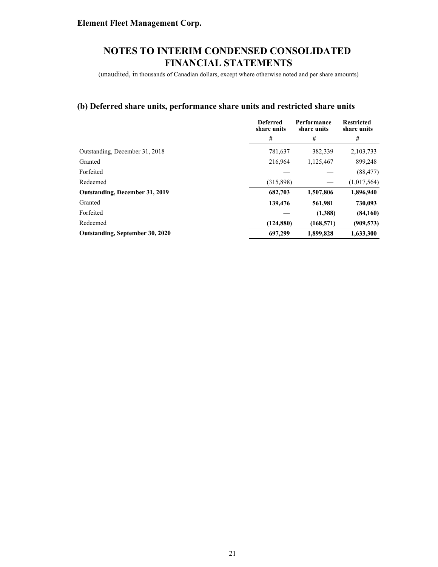(unaudited, in thousands of Canadian dollars, except where otherwise noted and per share amounts)

### **(b) Deferred share units, performance share units and restricted share units**

|                                       | <b>Deferred</b><br>share units | Performance<br>share units | <b>Restricted</b><br>share units |
|---------------------------------------|--------------------------------|----------------------------|----------------------------------|
|                                       | #                              | #                          | #                                |
| Outstanding, December 31, 2018        | 781,637                        | 382,339                    | 2,103,733                        |
| Granted                               | 216.964                        | 1,125,467                  | 899,248                          |
| Forfeited                             |                                |                            | (88, 477)                        |
| Redeemed                              | (315,898)                      |                            | (1,017,564)                      |
| <b>Outstanding, December 31, 2019</b> | 682,703                        | 1,507,806                  | 1,896,940                        |
| Granted                               | 139,476                        | 561,981                    | 730,093                          |
| Forfeited                             |                                | (1,388)                    | (84,160)                         |
| Redeemed                              | (124, 880)                     | (168, 571)                 | (909, 573)                       |
| Outstanding, September 30, 2020       | 697,299                        | 1,899,828                  | 1,633,300                        |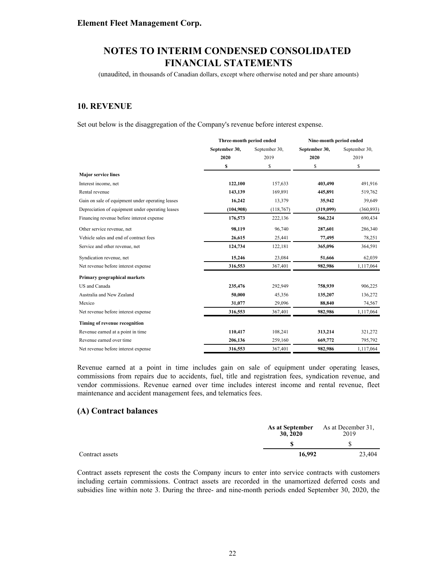(unaudited, in thousands of Canadian dollars, except where otherwise noted and per share amounts)

### **10. REVENUE**

Set out below is the disaggregation of the Company's revenue before interest expense.

|                                                  | Three-month period ended |               | Nine-month period ended |               |  |
|--------------------------------------------------|--------------------------|---------------|-------------------------|---------------|--|
|                                                  | September 30,            | September 30, | September 30,           | September 30, |  |
|                                                  | 2020                     | 2019          | 2020                    | 2019          |  |
|                                                  | \$                       | \$            | \$                      | \$            |  |
| <b>Major service lines</b>                       |                          |               |                         |               |  |
| Interest income, net                             | 122,100                  | 157,633       | 403,490                 | 491,916       |  |
| Rental revenue                                   | 143,139                  | 169,891       | 445,891                 | 519,762       |  |
| Gain on sale of equipment under operating leases | 16,242                   | 13,379        | 35,942                  | 39,649        |  |
| Depreciation of equipment under operating leases | (104,908)                | (118, 767)    | (319,099)               | (360, 893)    |  |
| Financing revenue before interest expense        | 176,573                  | 222,136       | 566,224                 | 690,434       |  |
| Other service revenue, net                       | 98,119                   | 96,740        | 287,601                 | 286,340       |  |
| Vehicle sales and end of contract fees           | 26,615                   | 25,441        | 77,495                  | 78,251        |  |
| Service and other revenue, net                   | 124,734                  | 122,181       | 365,096                 | 364,591       |  |
| Syndication revenue, net                         | 15,246                   | 23,084        | 51,666                  | 62,039        |  |
| Net revenue before interest expense              | 316,553                  | 367,401       | 982,986                 | 1,117,064     |  |
| Primary geographical markets                     |                          |               |                         |               |  |
| US and Canada                                    | 235,476                  | 292,949       | 758,939                 | 906,225       |  |
| Australia and New Zealand                        | 50,000                   | 45,356        | 135,207                 | 136,272       |  |
| Mexico                                           | 31,077                   | 29,096        | 88,840                  | 74,567        |  |
| Net revenue before interest expense              | 316,553                  | 367,401       | 982,986                 | 1,117,064     |  |
| Timing of revenue recognition                    |                          |               |                         |               |  |
| Revenue earned at a point in time                | 110,417                  | 108,241       | 313,214                 | 321,272       |  |
| Revenue earned over time                         | 206,136                  | 259,160       | 669,772                 | 795,792       |  |
| Net revenue before interest expense              | 316,553                  | 367,401       | 982,986                 | 1,117,064     |  |

Revenue earned at a point in time includes gain on sale of equipment under operating leases, commissions from repairs due to accidents, fuel, title and registration fees, syndication revenue, and vendor commissions. Revenue earned over time includes interest income and rental revenue, fleet maintenance and accident management fees, and telematics fees.

#### **(A) Contract balances**

|                 | As at September<br>30, 2020 | As at December 31.<br>2019 |
|-----------------|-----------------------------|----------------------------|
|                 |                             |                            |
| Contract assets | 16.992                      | 23.404                     |

Contract assets represent the costs the Company incurs to enter into service contracts with customers including certain commissions. Contract assets are recorded in the unamortized deferred costs and subsidies line within note 3. During the three- and nine-month periods ended September 30, 2020, the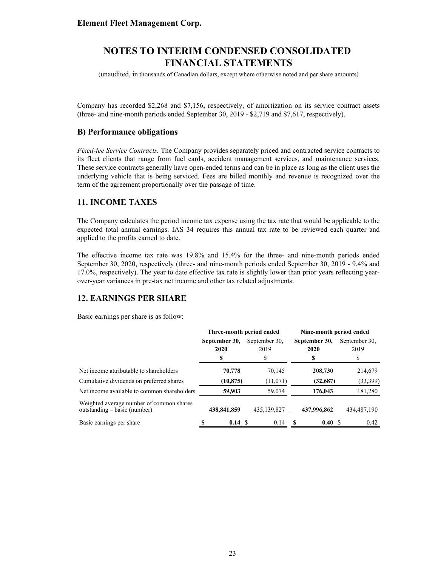(unaudited, in thousands of Canadian dollars, except where otherwise noted and per share amounts)

Company has recorded \$2,268 and \$7,156, respectively, of amortization on its service contract assets (three- and nine-month periods ended September 30, 2019 - \$2,719 and \$7,617, respectively).

#### **B) Performance obligations**

*Fixed-fee Service Contracts.* The Company provides separately priced and contracted service contracts to its fleet clients that range from fuel cards, accident management services, and maintenance services. These service contracts generally have open-ended terms and can be in place as long as the client uses the underlying vehicle that is being serviced. Fees are billed monthly and revenue is recognized over the term of the agreement proportionally over the passage of time.

### **11. INCOME TAXES**

The Company calculates the period income tax expense using the tax rate that would be applicable to the expected total annual earnings. IAS 34 requires this annual tax rate to be reviewed each quarter and applied to the profits earned to date.

The effective income tax rate was 19.8% and 15.4% for the three- and nine-month periods ended September 30, 2020, respectively (three- and nine-month periods ended September 30, 2019 - 9.4% and 17.0%, respectively). The year to date effective tax rate is slightly lower than prior years reflecting yearover-year variances in pre-tax net income and other tax related adjustments.

### **12. EARNINGS PER SHARE**

Basic earnings per share is as follow:

|                                                                            | Three-month period ended |               | Nine-month period ended |               |  |
|----------------------------------------------------------------------------|--------------------------|---------------|-------------------------|---------------|--|
|                                                                            | September 30,            | September 30, | September 30,           | September 30, |  |
|                                                                            | 2020                     | 2019          | 2020                    | 2019          |  |
|                                                                            | S                        | \$            | S                       | ъ             |  |
| Net income attributable to shareholders                                    | 70,778                   | 70,145        | 208,730                 | 214,679       |  |
| Cumulative dividends on preferred shares                                   | (10, 875)                | (11,071)      | (32,687)                | (33,399)      |  |
| Net income available to common shareholders                                | 59,903                   | 59,074        | 176,043                 | 181,280       |  |
| Weighted average number of common shares<br>outstanding $-$ basic (number) | 438,841,859              | 435,139,827   | 437,996,862             | 434,487,190   |  |
| Basic earnings per share                                                   | 0.14S<br>S               | 0.14          | 0.40                    | 0.42          |  |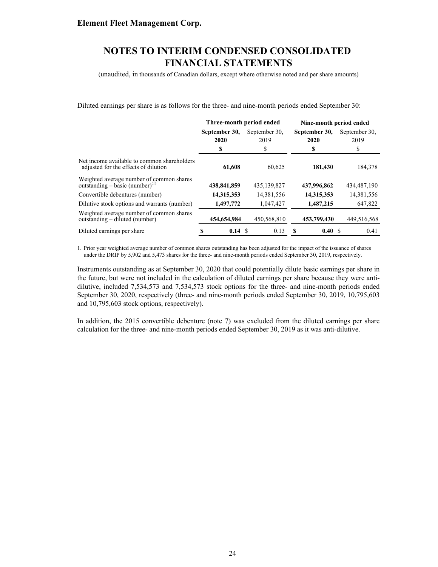(unaudited, in thousands of Canadian dollars, except where otherwise noted and per share amounts)

Diluted earnings per share is as follows for the three- and nine-month periods ended September 30:

|                                                                                         | Three-month period ended |               | Nine-month period ended |               |  |
|-----------------------------------------------------------------------------------------|--------------------------|---------------|-------------------------|---------------|--|
|                                                                                         | September 30,            | September 30, |                         | September 30. |  |
|                                                                                         | 2020                     | 2019          | 2020                    | 2019          |  |
|                                                                                         | S                        | \$            | \$                      | S             |  |
| Net income available to common shareholders<br>adjusted for the effects of dilution     | 61,608                   | 60,625        | 181,430                 | 184,378       |  |
| Weighted average number of common shares<br>outstanding – basic (number) <sup>(1)</sup> | 438,841,859              | 435,139,827   | 437,996,862             | 434,487,190   |  |
| Convertible debentures (number)                                                         | 14,315,353               | 14,381,556    | 14,315,353              | 14,381,556    |  |
| Dilutive stock options and warrants (number)                                            | 1,497,772                | 1,047,427     | 1,487,215               | 647,822       |  |
| Weighted average number of common shares<br>outstanding – diluted (number)              | 454,654,984              | 450,568,810   | 453,799,430             | 449,516,568   |  |
| Diluted earnings per share                                                              | 0.14S                    | 0.13          | 0.40 S<br>S             | 0.41          |  |

1. Prior year weighted average number of common shares outstanding has been adjusted for the impact of the issuance of shares under the DRIP by 5,902 and 5,473 shares for the three- and nine-month periods ended September 30, 2019, respectively.

Instruments outstanding as at September 30, 2020 that could potentially dilute basic earnings per share in the future, but were not included in the calculation of diluted earnings per share because they were antidilutive, included 7,534,573 and 7,534,573 stock options for the three- and nine-month periods ended September 30, 2020, respectively (three- and nine-month periods ended September 30, 2019, 10,795,603 and 10,795,603 stock options, respectively).

In addition, the 2015 convertible debenture (note 7) was excluded from the diluted earnings per share calculation for the three- and nine-month periods ended September 30, 2019 as it was anti-dilutive.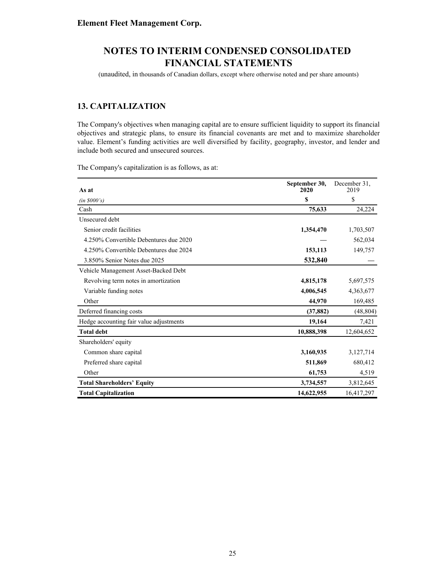(unaudited, in thousands of Canadian dollars, except where otherwise noted and per share amounts)

### **13. CAPITALIZATION**

The Company's objectives when managing capital are to ensure sufficient liquidity to support its financial objectives and strategic plans, to ensure its financial covenants are met and to maximize shareholder value. Element's funding activities are well diversified by facility, geography, investor, and lender and include both secured and unsecured sources.

The Company's capitalization is as follows, as at:

| As at                                   | September 30,<br>2020 | December 31,<br>2019 |
|-----------------------------------------|-----------------------|----------------------|
| (in \$000's)                            | \$                    | \$                   |
| Cash                                    | 75,633                | 24,224               |
| Unsecured debt                          |                       |                      |
| Senior credit facilities                | 1,354,470             | 1,703,507            |
| 4.250% Convertible Debentures due 2020  |                       | 562,034              |
| 4.250% Convertible Debentures due 2024  | 153,113               | 149,757              |
| 3.850% Senior Notes due 2025            | 532,840               |                      |
| Vehicle Management Asset-Backed Debt    |                       |                      |
| Revolving term notes in amortization    | 4,815,178             | 5,697,575            |
| Variable funding notes                  | 4,006,545             | 4,363,677            |
| Other                                   | 44,970                | 169,485              |
| Deferred financing costs                | (37, 882)             | (48, 804)            |
| Hedge accounting fair value adjustments | 19,164                | 7,421                |
| <b>Total debt</b>                       | 10,888,398            | 12,604,652           |
| Shareholders' equity                    |                       |                      |
| Common share capital                    | 3,160,935             | 3,127,714            |
| Preferred share capital                 | 511,869               | 680,412              |
| Other                                   | 61,753                | 4,519                |
| <b>Total Shareholders' Equity</b>       | 3,734,557             | 3,812,645            |
| <b>Total Capitalization</b>             | 14,622,955            | 16,417,297           |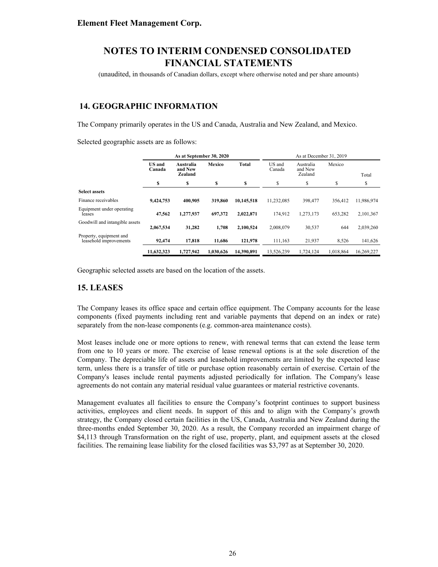(unaudited, in thousands of Canadian dollars, except where otherwise noted and per share amounts)

### **14. GEOGRAPHIC INFORMATION**

The Company primarily operates in the US and Canada, Australia and New Zealand, and Mexico.

Selected geographic assets are as follows:

|                                                   | As at September 30, 2020 |                                 |           | As at December 31, 2019 |                  |                                 |           |            |
|---------------------------------------------------|--------------------------|---------------------------------|-----------|-------------------------|------------------|---------------------------------|-----------|------------|
|                                                   | <b>US</b> and<br>Canada  | Australia<br>and New<br>Zealand | Mexico    | Total                   | US and<br>Canada | Australia<br>and New<br>Zealand | Mexico    | Total      |
|                                                   | S                        | \$                              | \$        | S                       | S                | \$                              | \$        | S          |
| <b>Select assets</b>                              |                          |                                 |           |                         |                  |                                 |           |            |
| Finance receivables                               | 9,424,753                | 400.905                         | 319,860   | 10.145.518              | 11.232.085       | 398.477                         | 356.412   | 11,986,974 |
| Equipment under operating<br>leases               | 47,562                   | 1,277,937                       | 697.372   | 2.022.871               | 174.912          | 1,273,173                       | 653,282   | 2,101,367  |
| Goodwill and intangible assets                    | 2,067,534                | 31,282                          | 1,708     | 2,100,524               | 2,008,079        | 30,537                          | 644       | 2,039,260  |
| Property, equipment and<br>leasehold improvements | 92,474                   | 17,818                          | 11,686    | 121,978                 | 111,163          | 21,937                          | 8,526     | 141,626    |
|                                                   | 11,632,323               | 1,727,942                       | 1.030.626 | 14,390,891              | 13,526,239       | 1.724.124                       | 1,018,864 | 16,269,227 |

Geographic selected assets are based on the location of the assets.

#### **15. LEASES**

The Company leases its office space and certain office equipment. The Company accounts for the lease components (fixed payments including rent and variable payments that depend on an index or rate) separately from the non-lease components (e.g. common-area maintenance costs).

Most leases include one or more options to renew, with renewal terms that can extend the lease term from one to 10 years or more. The exercise of lease renewal options is at the sole discretion of the Company. The depreciable life of assets and leasehold improvements are limited by the expected lease term, unless there is a transfer of title or purchase option reasonably certain of exercise. Certain of the Company's leases include rental payments adjusted periodically for inflation. The Company's lease agreements do not contain any material residual value guarantees or material restrictive covenants.

Management evaluates all facilities to ensure the Company's footprint continues to support business activities, employees and client needs. In support of this and to align with the Company's growth strategy, the Company closed certain facilities in the US, Canada, Australia and New Zealand during the three-months ended September 30, 2020. As a result, the Company recorded an impairment charge of \$4,113 through Transformation on the right of use, property, plant, and equipment assets at the closed facilities. The remaining lease liability for the closed facilities was \$3,797 as at September 30, 2020.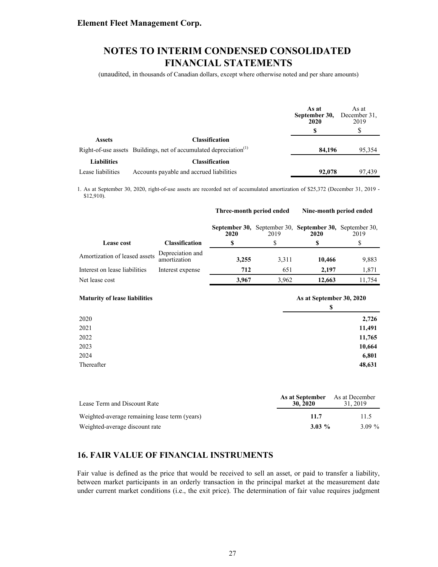(unaudited, in thousands of Canadian dollars, except where otherwise noted and per share amounts)

|                    |                                                                               | As at<br>September 30,<br>2020 | As at<br>December 31,<br>2019 |
|--------------------|-------------------------------------------------------------------------------|--------------------------------|-------------------------------|
|                    |                                                                               |                                | S                             |
| <b>Assets</b>      | <b>Classification</b>                                                         |                                |                               |
|                    | Right-of-use assets Buildings, net of accumulated depreciation <sup>(1)</sup> | 84,196                         | 95,354                        |
| <b>Liabilities</b> | <b>Classification</b>                                                         |                                |                               |
| Lease liabilities  | Accounts payable and accrued liabilities                                      | 92,078                         | 97.439                        |

1. As at September 30, 2020, right-of-use assets are recorded net of accumulated amortization of \$25,372 (December 31, 2019 - \$12,910).

**Three-month period ended Nine-month period ended**

| Lease cost                           | <b>Classification</b>            | 2020<br>\$ | 2019<br>\$ | September 30, September 30, September 30, September 30,<br><b>2020</b><br>\$ | 2019<br>\$ |
|--------------------------------------|----------------------------------|------------|------------|------------------------------------------------------------------------------|------------|
| Amortization of leased assets        | Depreciation and<br>amortization | 3,255      | 3,311      | 10,466                                                                       | 9,883      |
| Interest on lease liabilities        | Interest expense                 | 712        | 651        | 2,197                                                                        | 1,871      |
| Net lease cost                       |                                  | 3,967      | 3,962      | 12,663                                                                       | 11,754     |
| <b>Maturity of lease liabilities</b> |                                  |            |            | As at September 30, 2020<br>\$                                               |            |
| 2020                                 |                                  |            |            |                                                                              | 2,726      |
| 2021                                 |                                  |            |            |                                                                              | 11,491     |
| 2022                                 |                                  |            |            |                                                                              | 11,765     |
| 2023                                 |                                  |            |            |                                                                              | 10,664     |
| 2024                                 |                                  |            |            |                                                                              | 6,801      |
| Thereafter                           |                                  |            |            |                                                                              | 48,631     |

| Lease Term and Discount Rate                  | As at September<br>30, 2020 | As at December<br>31.2019 |
|-----------------------------------------------|-----------------------------|---------------------------|
| Weighted-average remaining lease term (years) | 11.7                        | 11.5                      |
| Weighted-average discount rate                | $3.03\%$                    | $3.09\%$                  |

### **16. FAIR VALUE OF FINANCIAL INSTRUMENTS**

Fair value is defined as the price that would be received to sell an asset, or paid to transfer a liability, between market participants in an orderly transaction in the principal market at the measurement date under current market conditions (i.e., the exit price). The determination of fair value requires judgment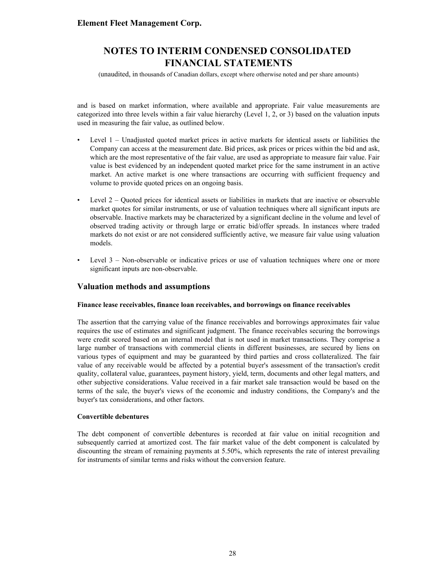(unaudited, in thousands of Canadian dollars, except where otherwise noted and per share amounts)

and is based on market information, where available and appropriate. Fair value measurements are categorized into three levels within a fair value hierarchy (Level 1, 2, or 3) based on the valuation inputs used in measuring the fair value, as outlined below.

- Level 1 Unadjusted quoted market prices in active markets for identical assets or liabilities the Company can access at the measurement date. Bid prices, ask prices or prices within the bid and ask, which are the most representative of the fair value, are used as appropriate to measure fair value. Fair value is best evidenced by an independent quoted market price for the same instrument in an active market. An active market is one where transactions are occurring with sufficient frequency and volume to provide quoted prices on an ongoing basis.
- Level 2 Quoted prices for identical assets or liabilities in markets that are inactive or observable market quotes for similar instruments, or use of valuation techniques where all significant inputs are observable. Inactive markets may be characterized by a significant decline in the volume and level of observed trading activity or through large or erratic bid/offer spreads. In instances where traded markets do not exist or are not considered sufficiently active, we measure fair value using valuation models.
- Level 3 Non-observable or indicative prices or use of valuation techniques where one or more significant inputs are non-observable.

#### **Valuation methods and assumptions**

#### **Finance lease receivables, finance loan receivables, and borrowings on finance receivables**

The assertion that the carrying value of the finance receivables and borrowings approximates fair value requires the use of estimates and significant judgment. The finance receivables securing the borrowings were credit scored based on an internal model that is not used in market transactions. They comprise a large number of transactions with commercial clients in different businesses, are secured by liens on various types of equipment and may be guaranteed by third parties and cross collateralized. The fair value of any receivable would be affected by a potential buyer's assessment of the transaction's credit quality, collateral value, guarantees, payment history, yield, term, documents and other legal matters, and other subjective considerations. Value received in a fair market sale transaction would be based on the terms of the sale, the buyer's views of the economic and industry conditions, the Company's and the buyer's tax considerations, and other factors.

#### **Convertible debentures**

The debt component of convertible debentures is recorded at fair value on initial recognition and subsequently carried at amortized cost. The fair market value of the debt component is calculated by discounting the stream of remaining payments at 5.50%, which represents the rate of interest prevailing for instruments of similar terms and risks without the conversion feature.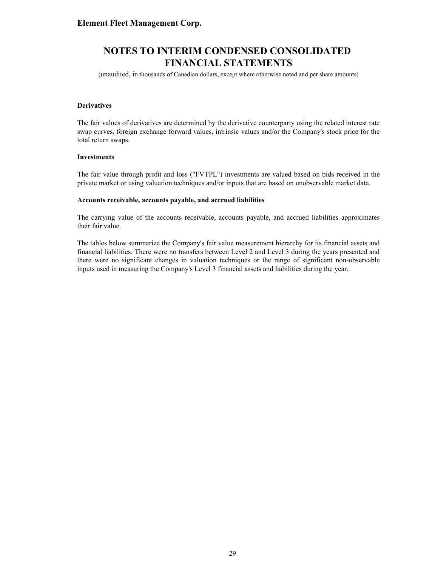(unaudited, in thousands of Canadian dollars, except where otherwise noted and per share amounts)

#### **Derivatives**

The fair values of derivatives are determined by the derivative counterparty using the related interest rate swap curves, foreign exchange forward values, intrinsic values and/or the Company's stock price for the total return swaps.

#### **Investments**

The fair value through profit and loss ("FVTPL") investments are valued based on bids received in the private market or using valuation techniques and/or inputs that are based on unobservable market data.

#### **Accounts receivable, accounts payable, and accrued liabilities**

The carrying value of the accounts receivable, accounts payable, and accrued liabilities approximates their fair value.

The tables below summarize the Company's fair value measurement hierarchy for its financial assets and financial liabilities. There were no transfers between Level 2 and Level 3 during the years presented and there were no significant changes in valuation techniques or the range of significant non-observable inputs used in measuring the Company's Level 3 financial assets and liabilities during the year.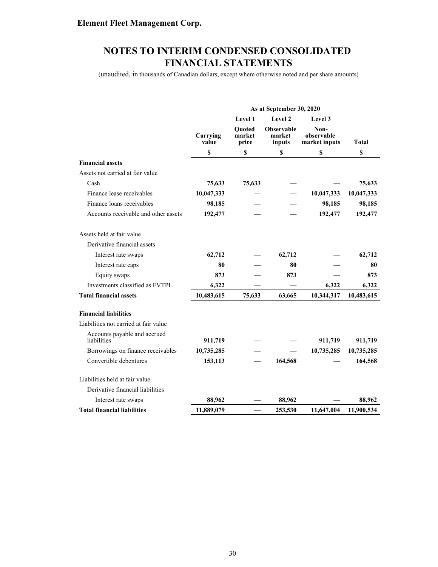(unaudited, in thousands of Canadian dollars, except where otherwise noted and per share amounts)

|                                             |                   |                                  | As at September 30, 2020       |                                     |              |
|---------------------------------------------|-------------------|----------------------------------|--------------------------------|-------------------------------------|--------------|
|                                             |                   | Level 1                          | Level 2                        | Level 3                             |              |
|                                             | Carrying<br>value | <b>Ouoted</b><br>market<br>price | Observable<br>market<br>inputs | Non-<br>observable<br>market inputs | <b>Total</b> |
|                                             | \$                | \$                               | \$                             | \$                                  | \$           |
| <b>Financial assets</b>                     |                   |                                  |                                |                                     |              |
| Assets not carried at fair value            |                   |                                  |                                |                                     |              |
| Cash                                        | 75,633            | 75,633                           |                                |                                     | 75,633       |
| Finance lease receivables                   | 10,047,333        |                                  |                                | 10,047,333                          | 10,047,333   |
| Finance loans receivables                   | 98,185            |                                  |                                | 98,185                              | 98,185       |
| Accounts receivable and other assets        | 192,477           |                                  |                                | 192,477                             | 192,477      |
| Assets held at fair value                   |                   |                                  |                                |                                     |              |
| Derivative financial assets                 |                   |                                  |                                |                                     |              |
| Interest rate swaps                         | 62,712            |                                  | 62,712                         |                                     | 62,712       |
| Interest rate caps                          | 80                |                                  | 80                             |                                     | 80           |
| Equity swaps                                | 873               |                                  | 873                            |                                     | 873          |
| Investments classified as FVTPL             | 6,322             |                                  |                                | 6,322                               | 6,322        |
| <b>Total financial assets</b>               | 10,483,615        | 75,633                           | 63,665                         | 10,344,317                          | 10,483,615   |
| <b>Financial liabilities</b>                |                   |                                  |                                |                                     |              |
| Liabilities not carried at fair value       |                   |                                  |                                |                                     |              |
| Accounts payable and accrued<br>liabilities | 911,719           |                                  |                                | 911,719                             | 911,719      |
| Borrowings on finance receivables           | 10,735,285        |                                  |                                | 10,735,285                          | 10,735,285   |
| Convertible debentures                      | 153,113           |                                  | 164,568                        |                                     | 164,568      |
| Liabilities held at fair value              |                   |                                  |                                |                                     |              |
| Derivative financial liabilities            |                   |                                  |                                |                                     |              |
| Interest rate swaps                         | 88,962            |                                  | 88,962                         |                                     | 88,962       |
| <b>Total financial liabilities</b>          | 11,889,079        |                                  | 253,530                        | 11,647,004                          | 11,900,534   |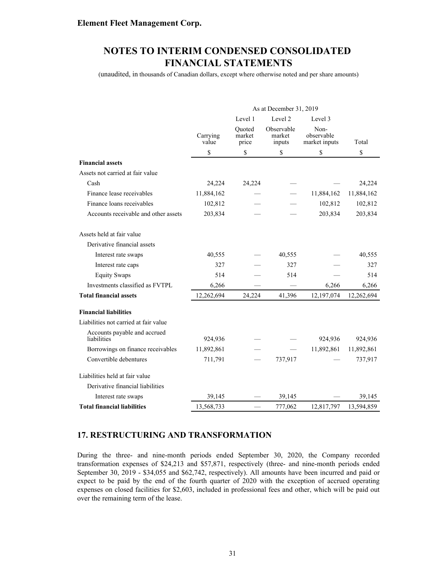(unaudited, in thousands of Canadian dollars, except where otherwise noted and per share amounts)

|                                             | As at December 31, 2019       |                           |                                |                                     |            |
|---------------------------------------------|-------------------------------|---------------------------|--------------------------------|-------------------------------------|------------|
|                                             | Level 1<br>Level 2<br>Level 3 |                           |                                |                                     |            |
|                                             | Carrying<br>value             | Ouoted<br>market<br>price | Observable<br>market<br>inputs | Non-<br>observable<br>market inputs | Total      |
|                                             | \$                            | \$                        | \$                             | \$                                  | \$         |
| <b>Financial assets</b>                     |                               |                           |                                |                                     |            |
| Assets not carried at fair value            |                               |                           |                                |                                     |            |
| Cash                                        | 24,224                        | 24,224                    |                                |                                     | 24,224     |
| Finance lease receivables                   | 11,884,162                    |                           |                                | 11,884,162                          | 11,884,162 |
| Finance loans receivables                   | 102,812                       |                           |                                | 102,812                             | 102,812    |
| Accounts receivable and other assets        | 203,834                       |                           |                                | 203,834                             | 203,834    |
| Assets held at fair value                   |                               |                           |                                |                                     |            |
| Derivative financial assets                 |                               |                           |                                |                                     |            |
| Interest rate swaps                         | 40,555                        |                           | 40,555                         |                                     | 40,555     |
| Interest rate caps                          | 327                           |                           | 327                            |                                     | 327        |
| <b>Equity Swaps</b>                         | 514                           |                           | 514                            |                                     | 514        |
| Investments classified as FVTPL             | 6,266                         |                           |                                | 6,266                               | 6,266      |
| <b>Total financial assets</b>               | 12,262,694                    | 24,224                    | 41,396                         | 12,197,074                          | 12,262,694 |
| <b>Financial liabilities</b>                |                               |                           |                                |                                     |            |
| Liabilities not carried at fair value       |                               |                           |                                |                                     |            |
| Accounts payable and accrued<br>liabilities | 924,936                       |                           |                                | 924,936                             | 924,936    |
| Borrowings on finance receivables           | 11,892,861                    |                           |                                | 11,892,861                          | 11,892,861 |
| Convertible debentures                      | 711,791                       |                           | 737,917                        |                                     | 737,917    |
| Liabilities held at fair value              |                               |                           |                                |                                     |            |
| Derivative financial liabilities            |                               |                           |                                |                                     |            |
| Interest rate swaps                         | 39,145                        |                           | 39,145                         |                                     | 39,145     |
| <b>Total financial liabilities</b>          | 13,568,733                    |                           | 777,062                        | 12,817,797                          | 13,594,859 |

### **17. RESTRUCTURING AND TRANSFORMATION**

During the three- and nine-month periods ended September 30, 2020, the Company recorded transformation expenses of \$24,213 and \$57,871, respectively (three- and nine-month periods ended September 30, 2019 - \$34,055 and \$62,742, respectively). All amounts have been incurred and paid or expect to be paid by the end of the fourth quarter of 2020 with the exception of accrued operating expenses on closed facilities for \$2,603, included in professional fees and other, which will be paid out over the remaining term of the lease.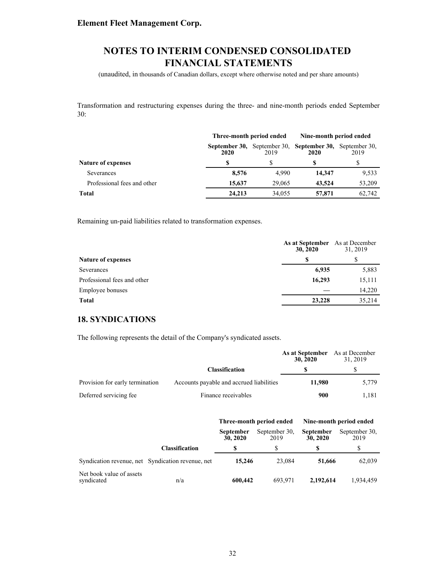(unaudited, in thousands of Canadian dollars, except where otherwise noted and per share amounts)

Transformation and restructuring expenses during the three- and nine-month periods ended September 30:

|                             |                       | Three-month period ended |                                     | Nine-month period ended |  |
|-----------------------------|-----------------------|--------------------------|-------------------------------------|-------------------------|--|
|                             | September 30,<br>2020 | 2019                     | September 30, September 30,<br>2020 | September 30.<br>2019   |  |
| Nature of expenses          |                       |                          |                                     |                         |  |
| Severances                  | 8,576                 | 4.990                    | 14.347                              | 9,533                   |  |
| Professional fees and other | 15,637                | 29,065                   | 43,524                              | 53,209                  |  |
| Total                       | 24,213                | 34,055                   | 57,871                              | 62,742                  |  |

Remaining un-paid liabilities related to transformation expenses.

|                             | As at September<br>30, 2020 | As at December<br>31, 2019 |  |
|-----------------------------|-----------------------------|----------------------------|--|
| <b>Nature of expenses</b>   | S                           |                            |  |
| Severances                  | 6,935                       | 5,883                      |  |
| Professional fees and other | 16,293                      | 15,111                     |  |
| Employee bonuses            |                             | 14,220                     |  |
| <b>Total</b>                | 23,228                      | 35,214                     |  |

### **18. SYNDICATIONS**

The following represents the detail of the Company's syndicated assets.

|                                 |                                          | As at September As at December<br>30, 2020 | 31, 2019 |  |
|---------------------------------|------------------------------------------|--------------------------------------------|----------|--|
|                                 | <b>Classification</b>                    |                                            |          |  |
| Provision for early termination | Accounts payable and accrued liabilities | 11.980                                     | 5,779    |  |
| Deferred servicing fee          | Finance receivables                      | 900                                        | 1.181    |  |

|                                        |                                                   | Three-month period ended |                       | Nine-month period ended      |                       |
|----------------------------------------|---------------------------------------------------|--------------------------|-----------------------|------------------------------|-----------------------|
|                                        |                                                   | September<br>30, 2020    | September 30.<br>2019 | <b>September</b><br>30, 2020 | September 30.<br>2019 |
|                                        | <b>Classification</b>                             |                          |                       |                              |                       |
|                                        | Syndication revenue, net Syndication revenue, net | 15,246                   | 23,084                | 51,666                       | 62,039                |
| Net book value of assets<br>syndicated | n/a                                               | 600,442                  | 693.971               | 2.192.614                    | 1,934,459             |